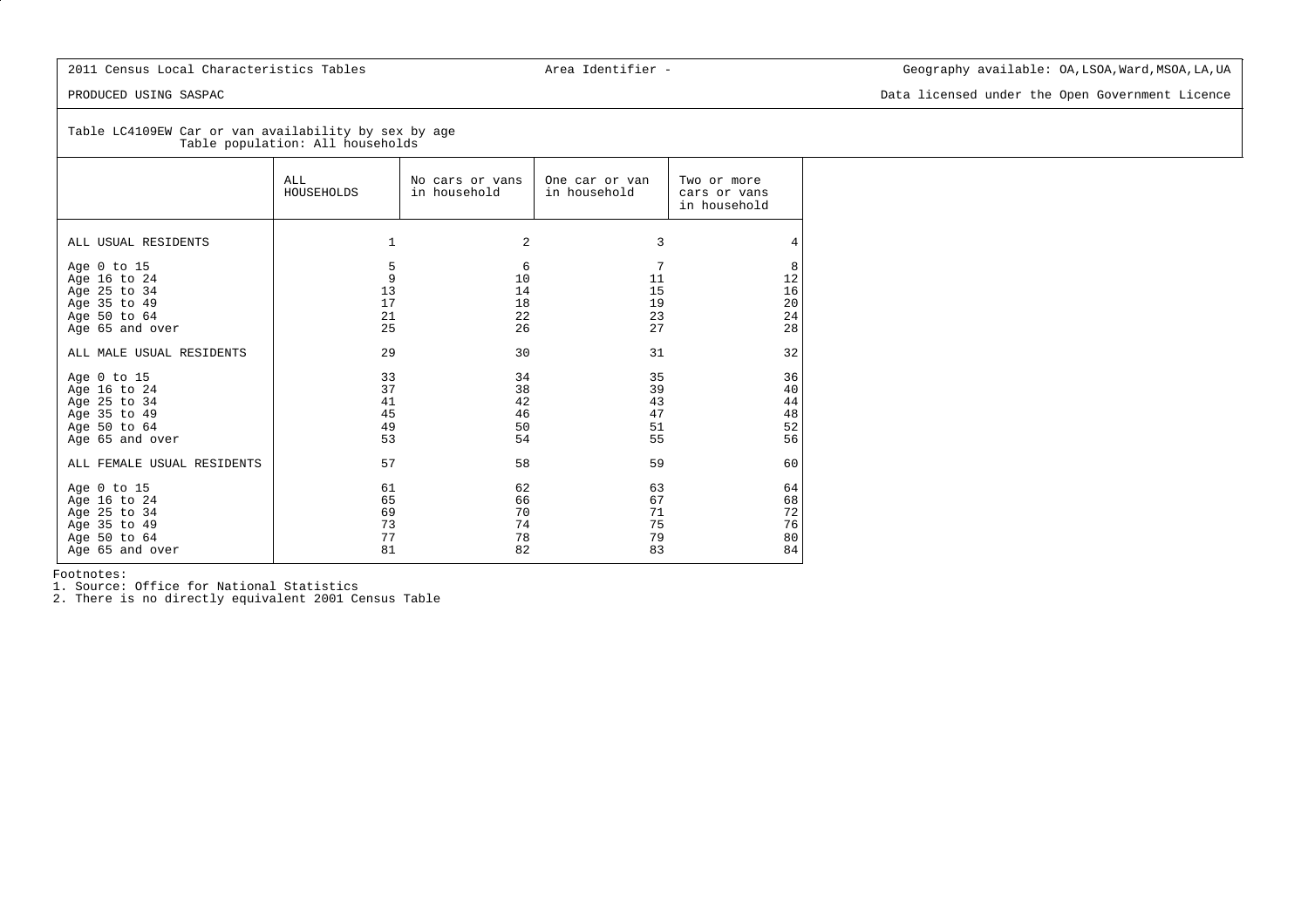PRODUCED USING SASPAC Data licensed under the Open Government Licence

Table LC4109EW Car or van availability by sex by age Table population: All households

|                                                                                                | ALL.<br>HOUSEHOLDS               | No cars or vans<br>in household  | One car or van<br>in household   | Two or more<br>cars or vans<br>in household |
|------------------------------------------------------------------------------------------------|----------------------------------|----------------------------------|----------------------------------|---------------------------------------------|
| ALL USUAL RESIDENTS                                                                            | 1                                | 2                                | 3                                | 4                                           |
| Age 0 to 15<br>Age 16 to 24<br>Age 25 to 34<br>Age 35 to 49<br>Age 50 to 64<br>Age 65 and over | 5<br>9<br>13<br>17<br>21<br>25   | 6<br>10<br>14<br>18<br>22<br>26  | 7<br>11<br>15<br>19<br>23<br>27  | 8<br>12<br>16<br>20<br>24<br>28             |
| ALL MALE USUAL RESIDENTS                                                                       | 29                               | 30                               | 31                               | 32                                          |
| Age 0 to 15<br>Age 16 to 24<br>Age 25 to 34<br>Age 35 to 49<br>Age 50 to 64<br>Age 65 and over | 33<br>37<br>41<br>45<br>49<br>53 | 34<br>38<br>42<br>46<br>50<br>54 | 35<br>39<br>43<br>47<br>51<br>55 | 36<br>40<br>44<br>48<br>52<br>56            |
| ALL FEMALE USUAL RESIDENTS                                                                     | 57                               | 58                               | 59                               | 60                                          |
| Age 0 to 15<br>Age 16 to 24<br>Age 25 to 34<br>Age 35 to 49<br>Age 50 to 64<br>Age 65 and over | 61<br>65<br>69<br>73<br>77<br>81 | 62<br>66<br>70<br>74<br>78<br>82 | 63<br>67<br>71<br>75<br>79<br>83 | 64<br>68<br>72<br>76<br>80<br>84            |

Footnotes:

1. Source: Office for National Statistics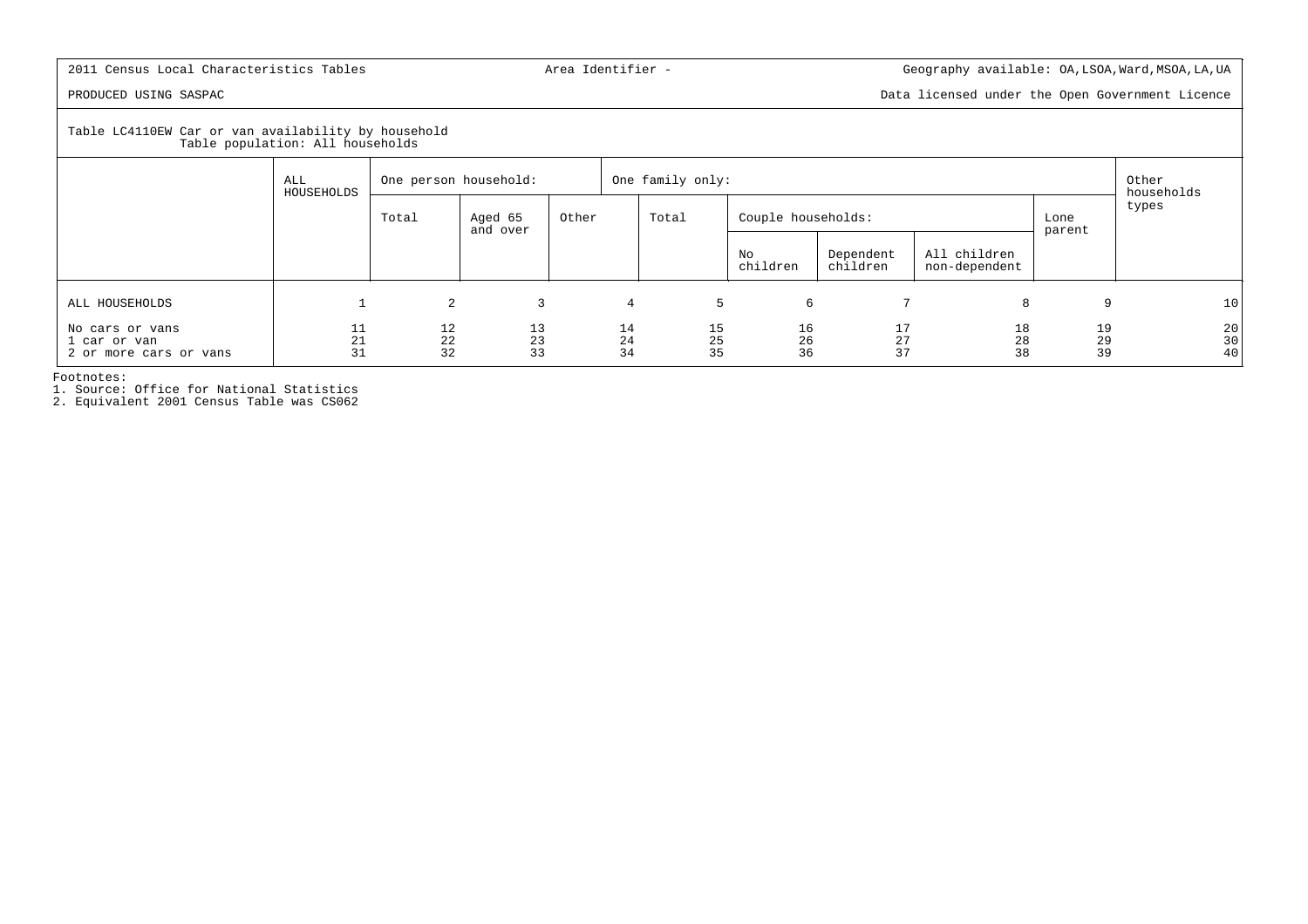PRODUCED USING SASPAC Data licensed under the Open Government Licence

Table LC4110EW Car or van availability by household Table population: All households

| rable population. All nouseholds                          |                   |                       |                     |       |                  |                |                    |                       |                               |                |                     |
|-----------------------------------------------------------|-------------------|-----------------------|---------------------|-------|------------------|----------------|--------------------|-----------------------|-------------------------------|----------------|---------------------|
|                                                           | ALL<br>HOUSEHOLDS | One person household: |                     |       | One family only: |                |                    |                       |                               |                | Other<br>households |
|                                                           |                   | Total                 | Aged 65<br>and over | Other | Total            |                | Couple households: |                       |                               | Lone<br>parent | types               |
|                                                           |                   |                       |                     |       |                  |                | No<br>children     | Dependent<br>children | All children<br>non-dependent |                |                     |
| ALL HOUSEHOLDS                                            |                   | $\overline{2}$        | 3                   |       | 4                | 5              | 6                  |                       | 8                             | 9              | 10                  |
| No cars or vans<br>1 car or van<br>2 or more cars or vans | 11<br>21<br>31    | 12<br>22<br>32        | 13<br>23<br>33      |       | 14<br>24<br>34   | 15<br>25<br>35 | 16<br>26<br>36     | 17<br>27<br>37        | 18<br>28<br>38                | 19<br>29<br>39 | 20<br>30<br>40      |

Footnotes:

1. Source: Office for National Statistics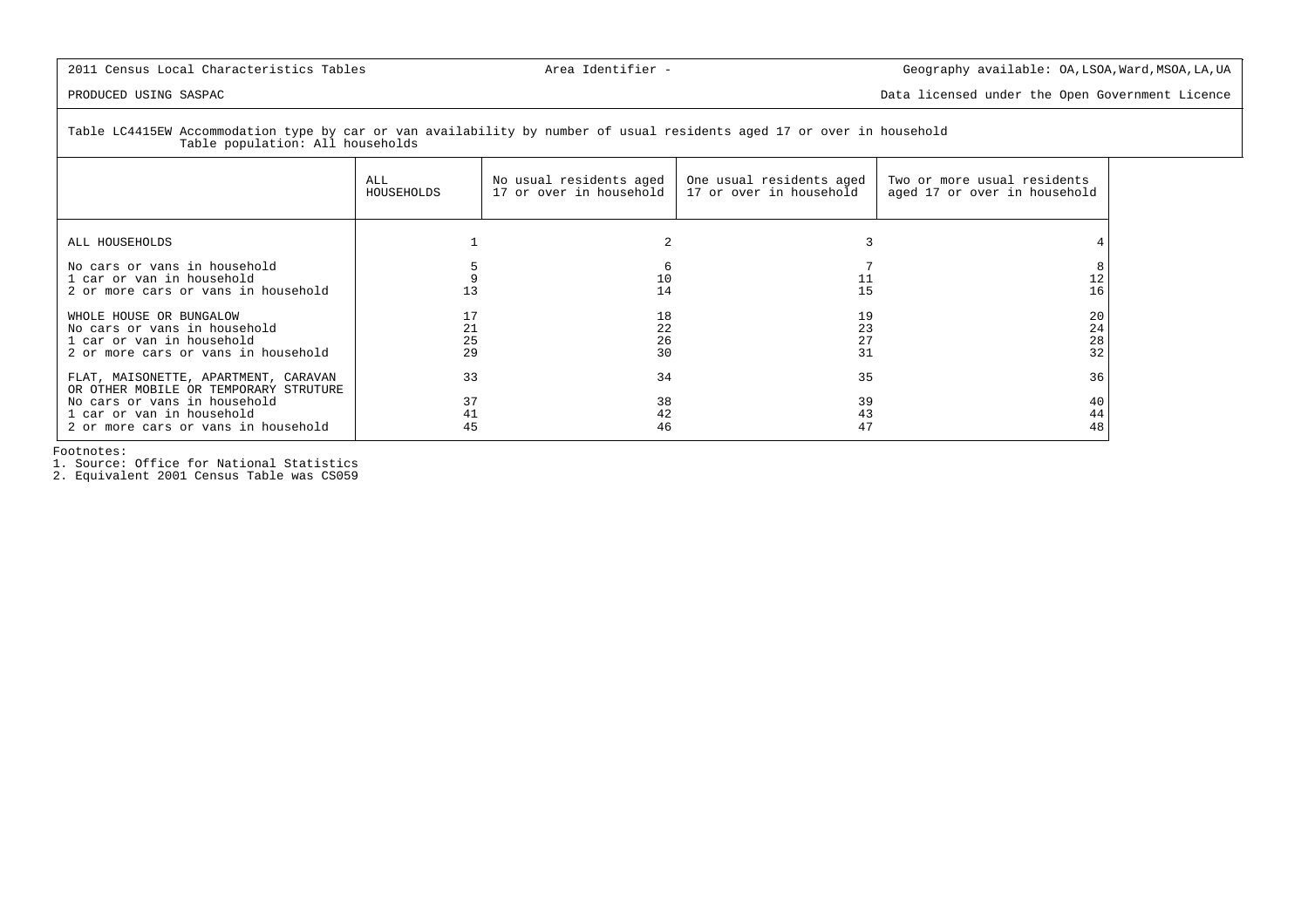PRODUCED USING SASPAC Data licensed under the Open Government Licence

Table LC4415EW Accommodation type by car or van availability by number of usual residents aged 17 or over in household Table population: All households

|                                                                                                                                                                                   | ALL<br>HOUSEHOLDS    | No usual residents aged<br>17 or over in household | One usual residents aged<br>17 or over in household | Two or more usual residents<br>aged 17 or over in household |
|-----------------------------------------------------------------------------------------------------------------------------------------------------------------------------------|----------------------|----------------------------------------------------|-----------------------------------------------------|-------------------------------------------------------------|
| ALL HOUSEHOLDS                                                                                                                                                                    |                      |                                                    |                                                     |                                                             |
| No cars or vans in household<br>1 car or van in household<br>2 or more cars or vans in household                                                                                  |                      | 10<br>14                                           |                                                     | 16                                                          |
| WHOLE HOUSE OR BUNGALOW<br>No cars or vans in household<br>1 car or van in household<br>2 or more cars or vans in household                                                       | 21<br>25<br>29       | 18<br>22<br>26<br>30                               | 19<br>23<br>27<br>31                                | 20<br>24<br>28<br>32                                        |
| FLAT, MAISONETTE, APARTMENT, CARAVAN<br>OR OTHER MOBILE OR TEMPORARY STRUTURE<br>No cars or vans in household<br>1 car or van in household<br>2 or more cars or vans in household | 33<br>37<br>41<br>45 | 34<br>38<br>42<br>46                               | 35<br>39<br>43                                      | 36<br>40<br>44<br>48                                        |

Footnotes:

1. Source: Office for National Statistics 2. Equivalent 2001 Census Table was CS059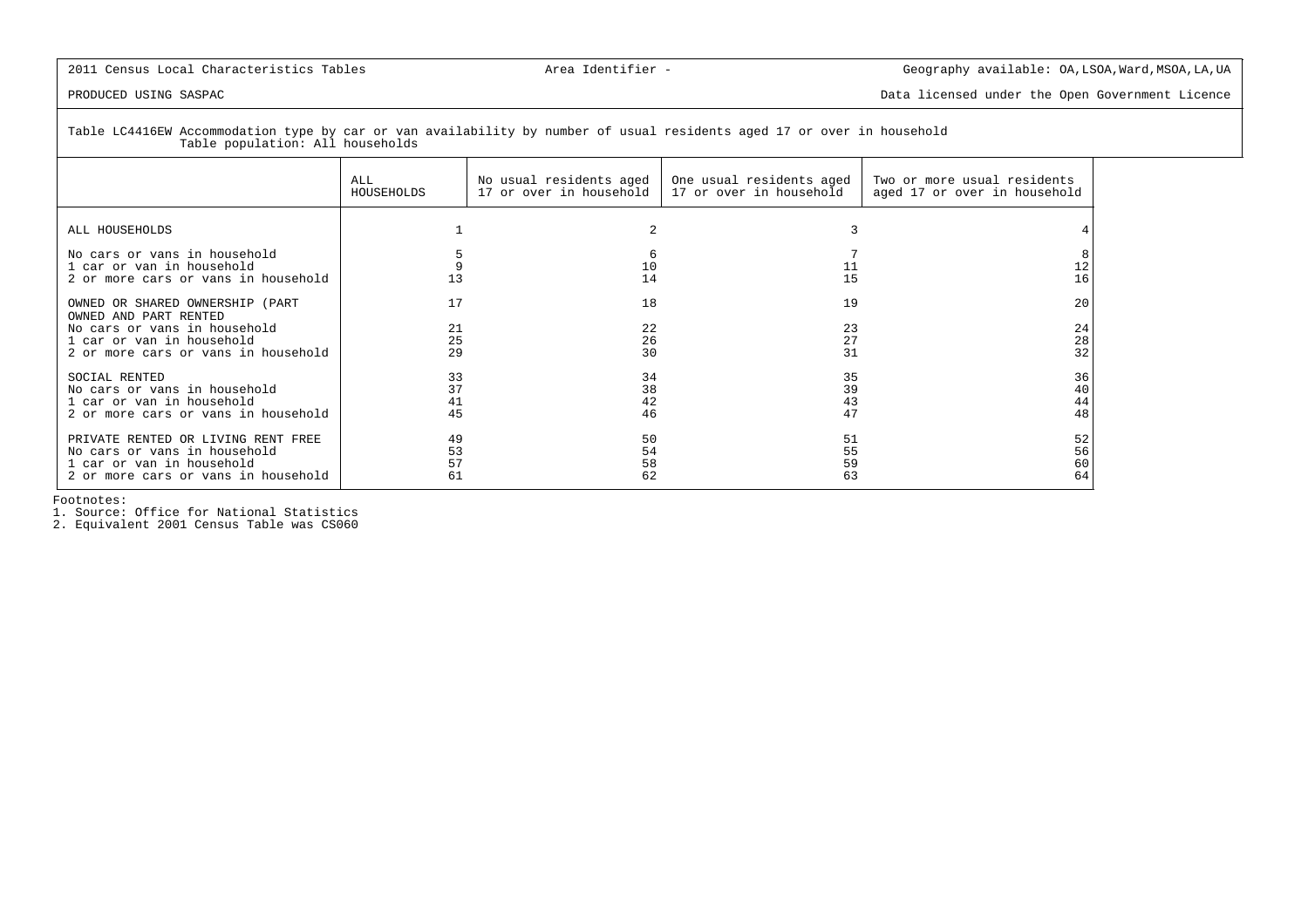PRODUCED USING SASPAC Data licensed under the Open Government Licence

Table LC4416EW Accommodation type by car or van availability by number of usual residents aged 17 or over in household Table population: All households

|                                                                                                                                                              | ALL                  | No usual residents aged | One usual residents aged | Two or more usual residents  |
|--------------------------------------------------------------------------------------------------------------------------------------------------------------|----------------------|-------------------------|--------------------------|------------------------------|
|                                                                                                                                                              | HOUSEHOLDS           | 17 or over in household | 17 or over in household  | aged 17 or over in household |
| ALL HOUSEHOLDS                                                                                                                                               |                      |                         |                          |                              |
| No cars or vans in household<br>1 car or van in household<br>2 or more cars or vans in household                                                             | 13                   | 10<br>14                | 15                       | 16                           |
| OWNED OR SHARED OWNERSHIP (PART<br>OWNED AND PART RENTED<br>No cars or vans in household<br>1 car or van in household<br>2 or more cars or vans in household | 17<br>21<br>25<br>29 | 18<br>22<br>26<br>30    | 19<br>23<br>27<br>31     | 20<br>24<br>28<br>32         |
| SOCIAL RENTED                                                                                                                                                | 33                   | 34                      | 35                       | 36                           |
| No cars or vans in household                                                                                                                                 | 37                   | 38                      | 39                       | 40                           |
| 1 car or van in household                                                                                                                                    | 41                   | 42                      | 43                       | 44                           |
| 2 or more cars or vans in household                                                                                                                          | 45                   | 46                      | 47                       | 48                           |
| PRIVATE RENTED OR LIVING RENT FREE                                                                                                                           | 49                   | 50                      | 51                       | 52                           |
| No cars or vans in household                                                                                                                                 | 53                   | 54                      | 55                       | 56                           |
| 1 car or van in household                                                                                                                                    | 57                   | 58                      | 59                       | 60                           |
| 2 or more cars or vans in household                                                                                                                          | 61                   | 62                      | 63                       | 64                           |

Footnotes:

1. Source: Office for National Statistics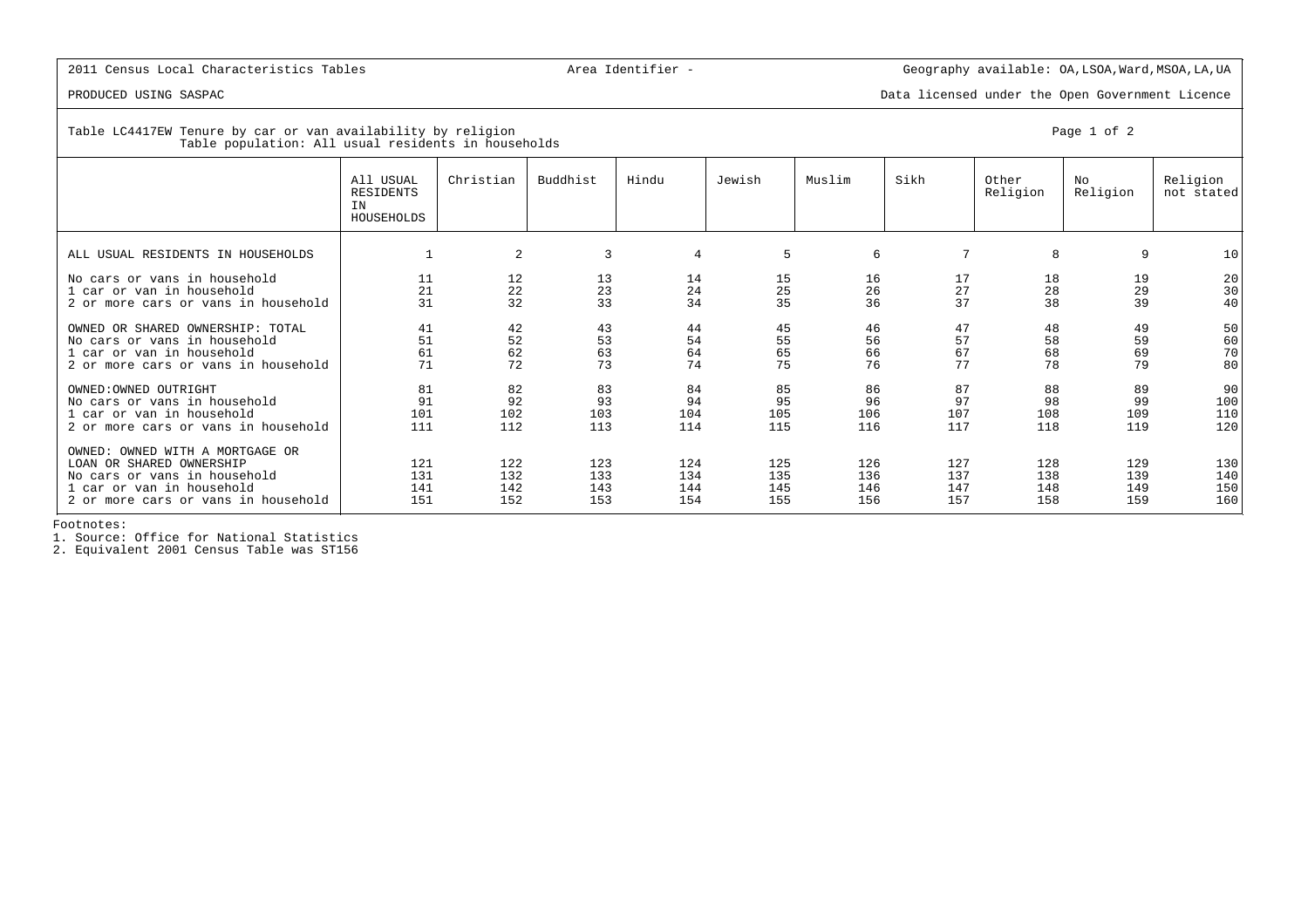PRODUCED USING SASPAC Data licensed under the Open Government Licence

| Table LC4417EW Tenure by car or van availability by religion | Page 1 of 2 |
|--------------------------------------------------------------|-------------|
| Table population: All usual residents in households          |             |

|                                                                                                                                                                 | All USUAL<br>RESIDENTS<br>IN<br>HOUSEHOLDS | Christian                | Buddhist                 | Hindu                    | Jewish                   | Muslim                   | Sikh                     | Other<br>Religion        | No<br>Religion           | Religion<br>not stated   |
|-----------------------------------------------------------------------------------------------------------------------------------------------------------------|--------------------------------------------|--------------------------|--------------------------|--------------------------|--------------------------|--------------------------|--------------------------|--------------------------|--------------------------|--------------------------|
| ALL USUAL RESIDENTS IN HOUSEHOLDS                                                                                                                               |                                            | 2                        | 3                        | $\overline{4}$           | 5                        | 6                        | 7                        | 8                        | 9                        | 10                       |
| No cars or vans in household<br>1 car or van in household<br>2 or more cars or vans in household                                                                | 11<br>21<br>31                             | 12<br>22<br>32           | 13<br>23<br>33           | 14<br>24<br>34           | 15<br>25<br>35           | 16<br>26<br>36           | 17<br>27<br>37           | 18<br>28<br>38           | 19<br>29<br>39           | 20<br>30<br>40           |
| OWNED OR SHARED OWNERSHIP: TOTAL<br>No cars or vans in household<br>1 car or van in household<br>2 or more cars or vans in household                            | 41<br>51<br>61<br>71                       | 42<br>52<br>62<br>72     | 43<br>53<br>63<br>73     | 44<br>54<br>64<br>74     | 45<br>55<br>65<br>75     | 46<br>56<br>66<br>76     | 47<br>57<br>67<br>77     | 48<br>58<br>68<br>78     | 49<br>59<br>69<br>79     | 50<br>60<br>70<br>80     |
| OWNED: OWNED OUTRIGHT<br>No cars or vans in household<br>1 car or van in household<br>2 or more cars or vans in household                                       | 81<br>91<br>101<br>111                     | 82<br>92<br>102<br>112   | 83<br>93<br>103<br>113   | 84<br>94<br>104<br>114   | 85<br>95<br>105<br>115   | 86<br>96<br>106<br>116   | 87<br>97<br>107<br>117   | 88<br>98<br>108<br>118   | 89<br>99<br>109<br>119   | 90<br>100<br>110<br>120  |
| OWNED: OWNED WITH A MORTGAGE OR<br>LOAN OR SHARED OWNERSHIP<br>No cars or vans in household<br>1 car or van in household<br>2 or more cars or vans in household | 121<br>131<br>141<br>151                   | 122<br>132<br>142<br>152 | 123<br>133<br>143<br>153 | 124<br>134<br>144<br>154 | 125<br>135<br>145<br>155 | 126<br>136<br>146<br>156 | 127<br>137<br>147<br>157 | 128<br>138<br>148<br>158 | 129<br>139<br>149<br>159 | 130<br>140<br>150<br>160 |

Footnotes:

1. Source: Office for National Statistics

2. Equivalent 2001 Census Table was ST156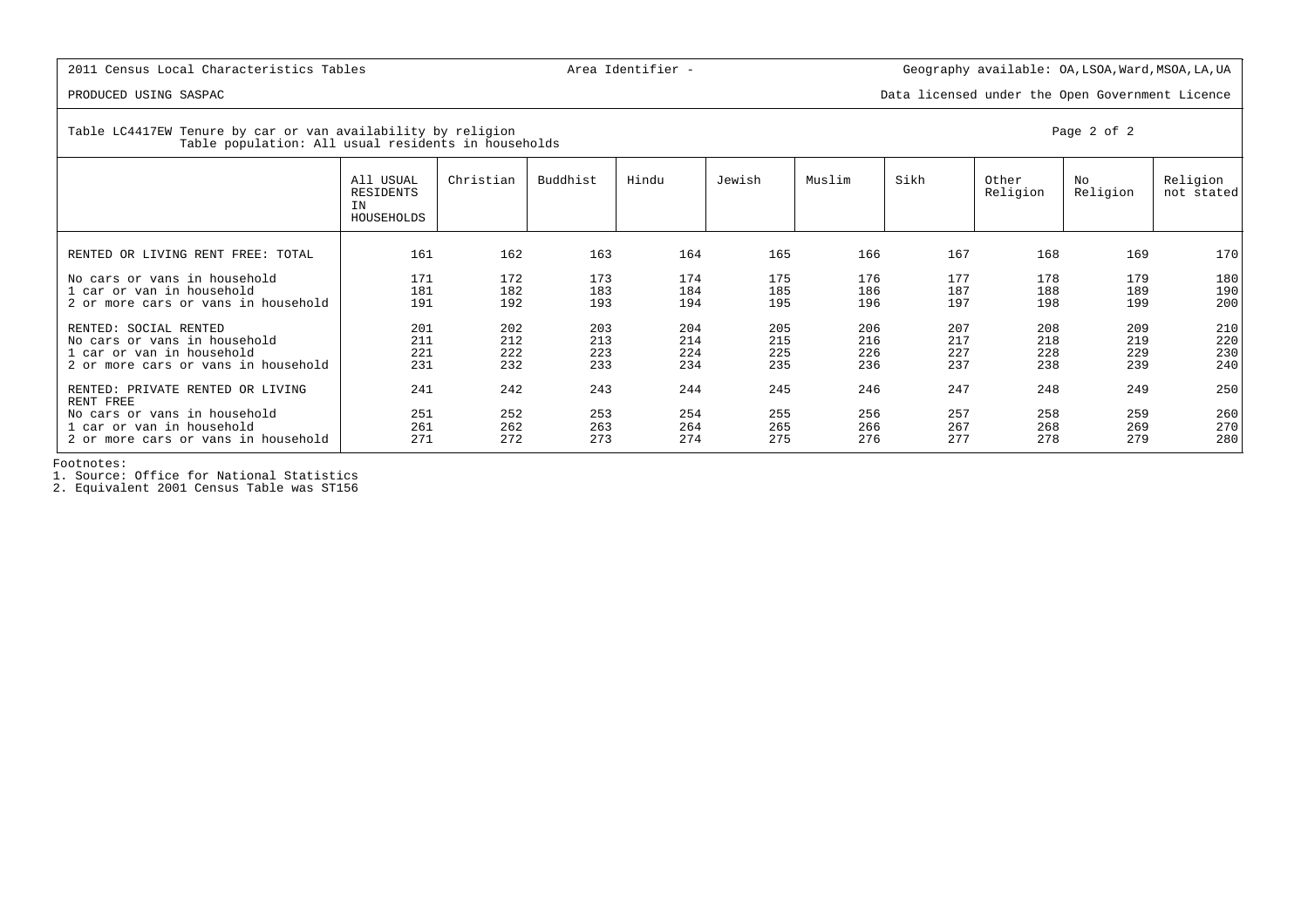PRODUCED USING SASPAC Data licensed under the Open Government Licence

Table LC4417EW Tenure by car or van availability by religion Page 2 of 2 Table population: All usual residents in households

|                                                                                                                           | All USUAL<br>RESIDENTS<br>IN<br>HOUSEHOLDS | Christian                | Buddhist                 | Hindu                    | Jewish                   | Muslim                   | Sikh                     | Other<br>Religion        | No<br>Religion           | Religion<br>not stated   |
|---------------------------------------------------------------------------------------------------------------------------|--------------------------------------------|--------------------------|--------------------------|--------------------------|--------------------------|--------------------------|--------------------------|--------------------------|--------------------------|--------------------------|
| RENTED OR LIVING RENT FREE: TOTAL                                                                                         | 161                                        | 162                      | 163                      | 164                      | 165                      | 166                      | 167                      | 168                      | 169                      | 170                      |
| No cars or vans in household<br>1 car or van in household<br>2 or more cars or vans in household                          | 171<br>181<br>191                          | 172<br>182<br>192        | 173<br>183<br>193        | 174<br>184<br>194        | 175<br>185<br>195        | 176<br>186<br>196        | 177<br>187<br>197        | 178<br>188<br>198        | 179<br>189<br>199        | 180<br>190<br>200        |
| RENTED: SOCIAL RENTED<br>No cars or vans in household<br>1 car or van in household<br>2 or more cars or vans in household | 201<br>211<br>221<br>231                   | 202<br>212<br>222<br>232 | 203<br>213<br>223<br>233 | 204<br>214<br>224<br>234 | 205<br>215<br>225<br>235 | 206<br>216<br>226<br>236 | 207<br>217<br>227<br>237 | 208<br>218<br>228<br>238 | 209<br>219<br>229<br>239 | 210<br>220<br>230<br>240 |
| RENTED: PRIVATE RENTED OR LIVING<br>RENT FREE                                                                             | 241                                        | 242                      | 243                      | 244                      | 245                      | 246                      | 247                      | 248                      | 249                      | 250                      |
| No cars or vans in household<br>1 car or van in household<br>2 or more cars or vans in household                          | 251<br>261<br>271                          | 252<br>262<br>272        | 253<br>263<br>273        | 254<br>264<br>274        | 255<br>265<br>275        | 256<br>266<br>276        | 257<br>267<br>277        | 258<br>268<br>278        | 259<br>269<br>279        | 260<br>270<br>280        |

Footnotes:

1. Source: Office for National Statistics

2. Equivalent 2001 Census Table was ST156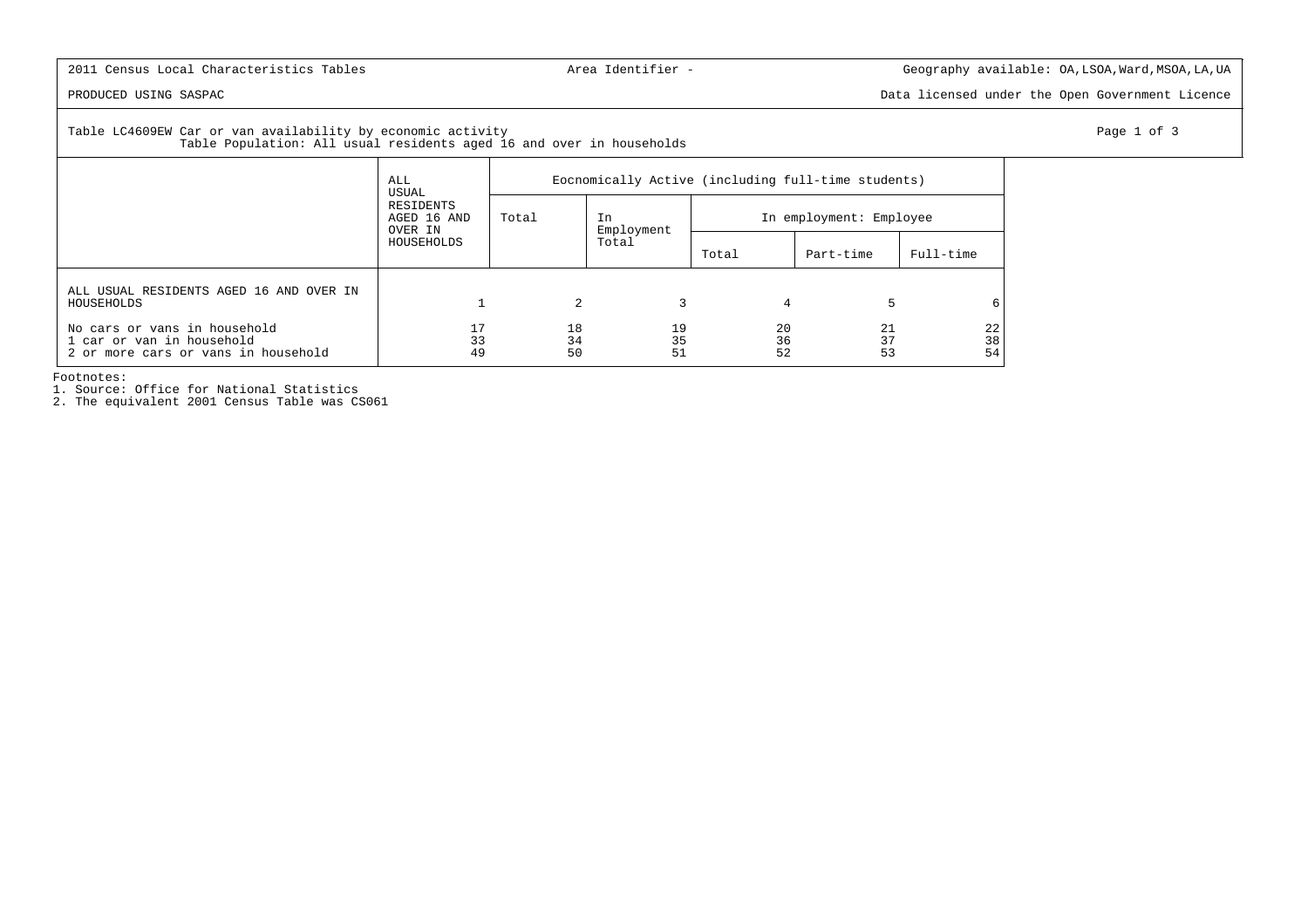PRODUCED USING SASPAC Data licensed under the Open Government Licence

Table LC4609EW Car or van availability by economic activity example of 3 and 200 minutes of 3 and 200 minutes of 3 and 200 minutes of 3 and 200 minutes of 3 and 200 minutes of 3 and 200 minutes of 3 and 200 minutes of 3 an Table Population: All usual residents aged 16 and over in households

|                                                                                                  | ALL<br>USUAL<br>RESIDENTS<br>AGED 16 AND<br>OVER IN<br>HOUSEHOLDS | Eocnomically Active (including full-time students) |                  |                         |                |                |  |  |  |
|--------------------------------------------------------------------------------------------------|-------------------------------------------------------------------|----------------------------------------------------|------------------|-------------------------|----------------|----------------|--|--|--|
|                                                                                                  |                                                                   | Total                                              | In<br>Employment | In employment: Employee |                |                |  |  |  |
|                                                                                                  |                                                                   |                                                    | Total            | Total                   | Part-time      | Full-time      |  |  |  |
| ALL USUAL RESIDENTS AGED 16 AND OVER IN<br>HOUSEHOLDS                                            |                                                                   | 2                                                  |                  | 4                       | 5              | 6              |  |  |  |
| No cars or vans in household<br>1 car or van in household<br>2 or more cars or vans in household | 33<br>49                                                          | 18<br>34<br>50                                     | 19<br>35<br>51   | 20<br>36<br>52          | 21<br>37<br>53 | 22<br>38<br>54 |  |  |  |

Footnotes:

1. Source: Office for National Statistics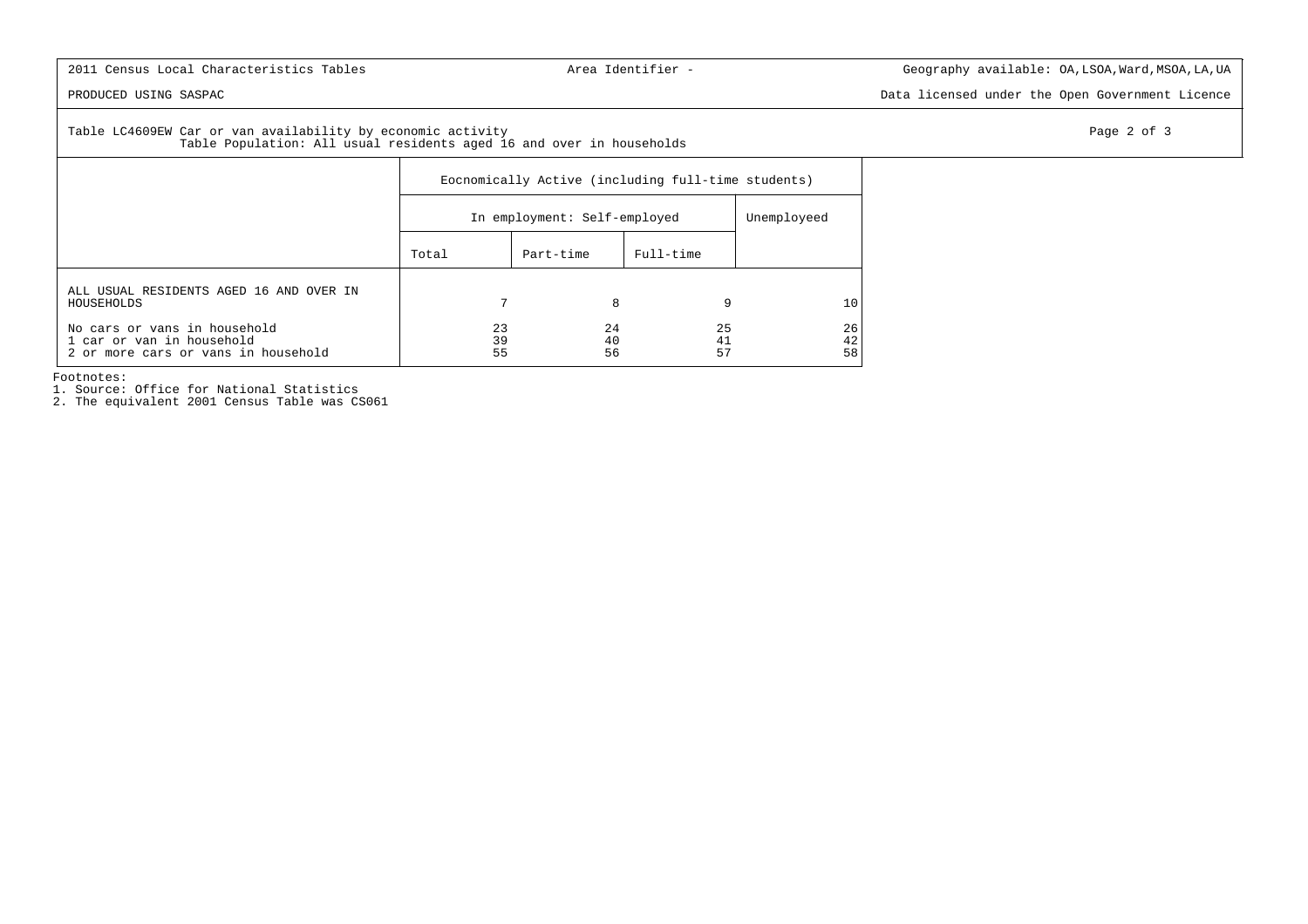PRODUCED USING SASPAC Data licensed under the Open Government Licence

Table LC4609EW Car or van availability by economic activity **Page 2** of 3 Table Population: All usual residents aged 16 and over in households

|                                                                                                  | Eocnomically Active (including full-time students) |                              |                |                |  |  |  |  |
|--------------------------------------------------------------------------------------------------|----------------------------------------------------|------------------------------|----------------|----------------|--|--|--|--|
|                                                                                                  |                                                    | In employment: Self-employed |                |                |  |  |  |  |
|                                                                                                  | Total                                              | Part-time                    | Full-time      |                |  |  |  |  |
| ALL USUAL RESIDENTS AGED 16 AND OVER IN<br>HOUSEHOLDS                                            | 7                                                  | 8                            | 9              | 10             |  |  |  |  |
| No cars or vans in household<br>1 car or van in household<br>2 or more cars or vans in household | 23<br>39<br>55                                     | 24<br>40<br>56               | 25<br>41<br>57 | 26<br>42<br>58 |  |  |  |  |

Footnotes:

1. Source: Office for National Statistics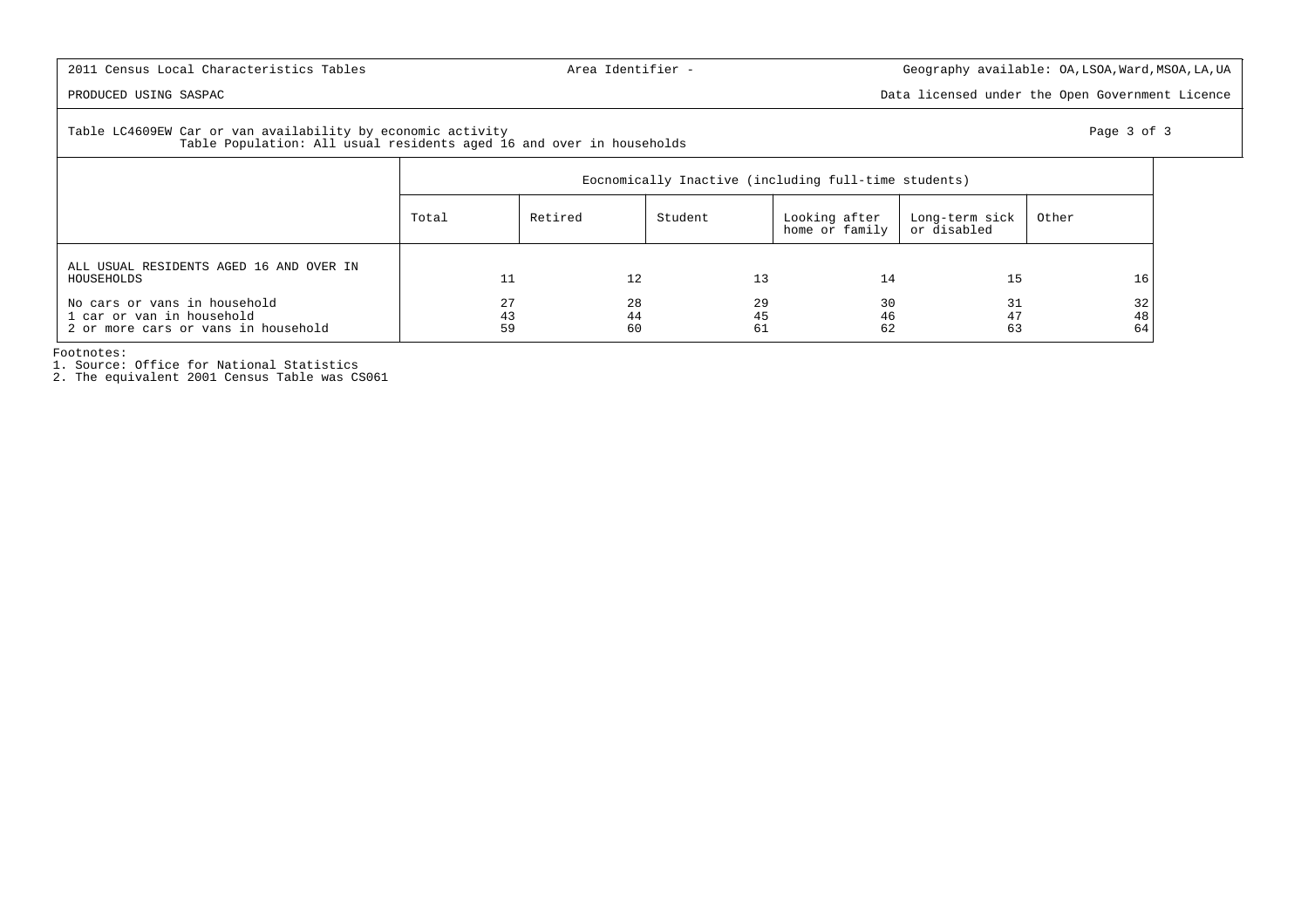PRODUCED USING SASPAC Data licensed under the Open Government Licence

# Table LC4609EW Car or van availability by economic activity Page 3 of 3 Table Population: All usual residents aged 16 and over in households

|                                                                                                  | Eocnomically Inactive (including full-time students) |                |                |                                 |                               |                |  |  |
|--------------------------------------------------------------------------------------------------|------------------------------------------------------|----------------|----------------|---------------------------------|-------------------------------|----------------|--|--|
|                                                                                                  | Total                                                | Retired        | Student        | Looking after<br>home or family | Long-term sick<br>or disabled | Other          |  |  |
| ALL USUAL RESIDENTS AGED 16 AND OVER IN<br>HOUSEHOLDS                                            |                                                      | 12             | 13             | 14                              | 15                            | 16             |  |  |
| No cars or vans in household<br>1 car or van in household<br>2 or more cars or vans in household | 27<br>43<br>59                                       | 28<br>44<br>60 | 29<br>45<br>61 | 30<br>46<br>62                  | 31<br>47<br>63                | 32<br>48<br>64 |  |  |

Footnotes:

1. Source: Office for National Statistics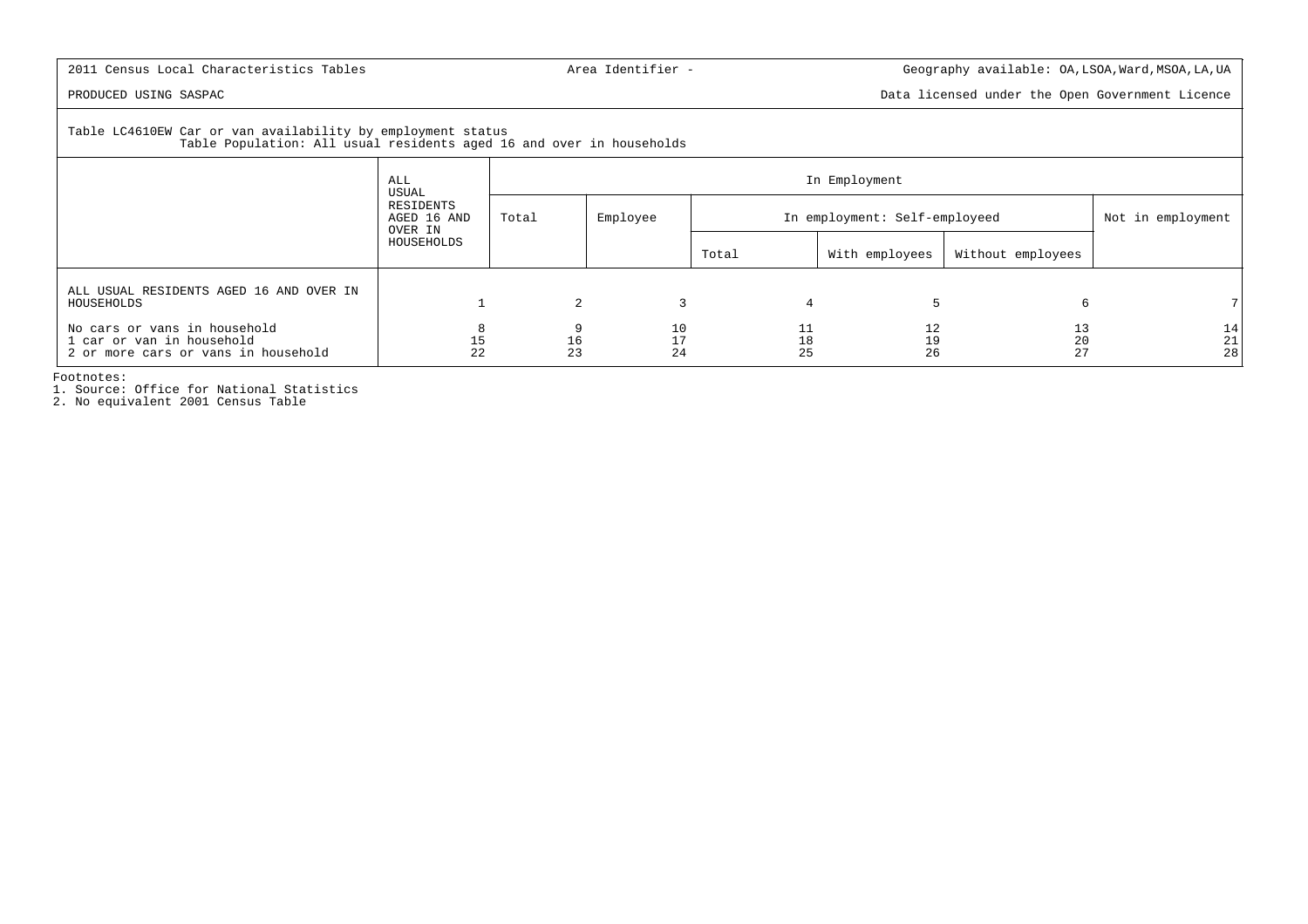PRODUCED USING SASPAC Data licensed under the Open Government Licence

 Table LC4610EW Car or van availability by employment statusTable Population: All usual residents aged 16 and over in households

|                                                                                                  | ALL                                          | In Employment |                |                               |                   |                   |                                               |  |  |
|--------------------------------------------------------------------------------------------------|----------------------------------------------|---------------|----------------|-------------------------------|-------------------|-------------------|-----------------------------------------------|--|--|
|                                                                                                  | USUAL<br>RESIDENTS<br>AGED 16 AND<br>OVER IN | Total         | Employee       | In employment: Self-employeed | Not in employment |                   |                                               |  |  |
|                                                                                                  | HOUSEHOLDS                                   |               |                | Total                         | With employees    | Without employees |                                               |  |  |
| ALL USUAL RESIDENTS AGED 16 AND OVER IN<br>HOUSEHOLDS                                            |                                              |               |                |                               |                   |                   |                                               |  |  |
| No cars or vans in household<br>1 car or van in household<br>2 or more cars or vans in household | 15<br>22                                     | 16<br>23      | 10<br>17<br>24 | 11<br>18<br>25                | 12<br>19<br>26    | 13<br>20<br>27    | 14<br>$\begin{array}{c} 21 \\ 28 \end{array}$ |  |  |

Footnotes:

1. Source: Office for National Statistics

2. No equivalent 2001 Census Table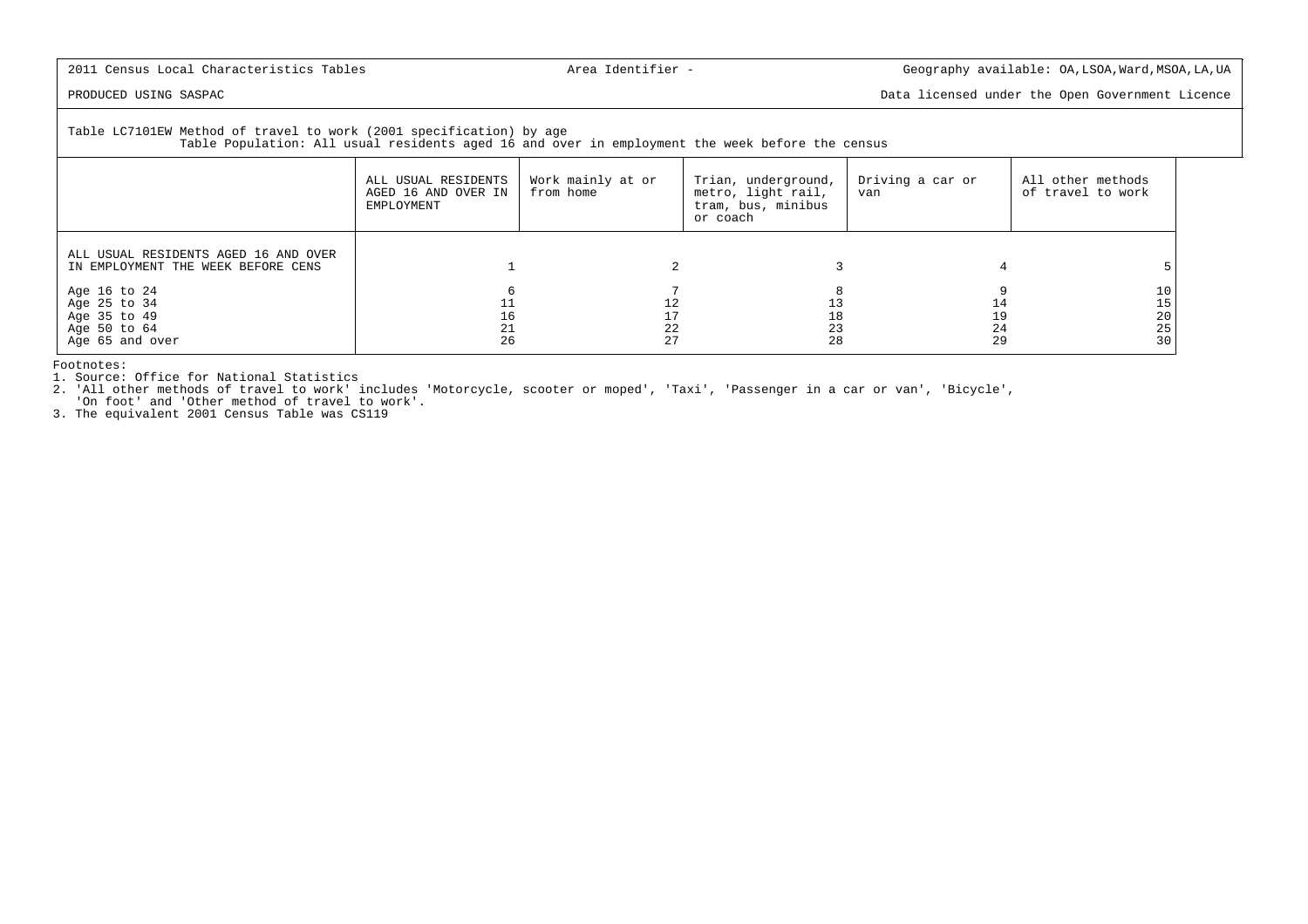PRODUCED USING SASPAC Data licensed under the Open Government Licence

Table LC7101EW Method of travel to work (2001 specification) by age

Table Population: All usual residents aged 16 and over in employment the week before the census

|                                                                                 | ALL USUAL RESIDENTS<br>AGED 16 AND OVER IN<br>EMPLOYMENT | Work mainly at or<br>from home | Trian, underground,<br>metro, light rail,<br>tram, bus, minibus<br>or coach | Driving a car or<br>van | All other methods<br>of travel to work |
|---------------------------------------------------------------------------------|----------------------------------------------------------|--------------------------------|-----------------------------------------------------------------------------|-------------------------|----------------------------------------|
| ALL USUAL RESIDENTS AGED 16 AND OVER<br>IN EMPLOYMENT THE WEEK BEFORE CENS      |                                                          |                                |                                                                             |                         |                                        |
| Age 16 to 24<br>Age 25 to 34<br>Age 35 to 49<br>Age 50 to 64<br>Age 65 and over | 26                                                       | 17<br>22<br>27                 | 28                                                                          | 19<br>24<br>29          | 20<br>25<br>30                         |

Footnotes:

1. Source: Office for National Statistics

 2. 'All other methods of travel to work' includes 'Motorcycle, scooter or moped', 'Taxi', 'Passenger in a car or van', 'Bicycle','On foot' and 'Other method of travel to work'.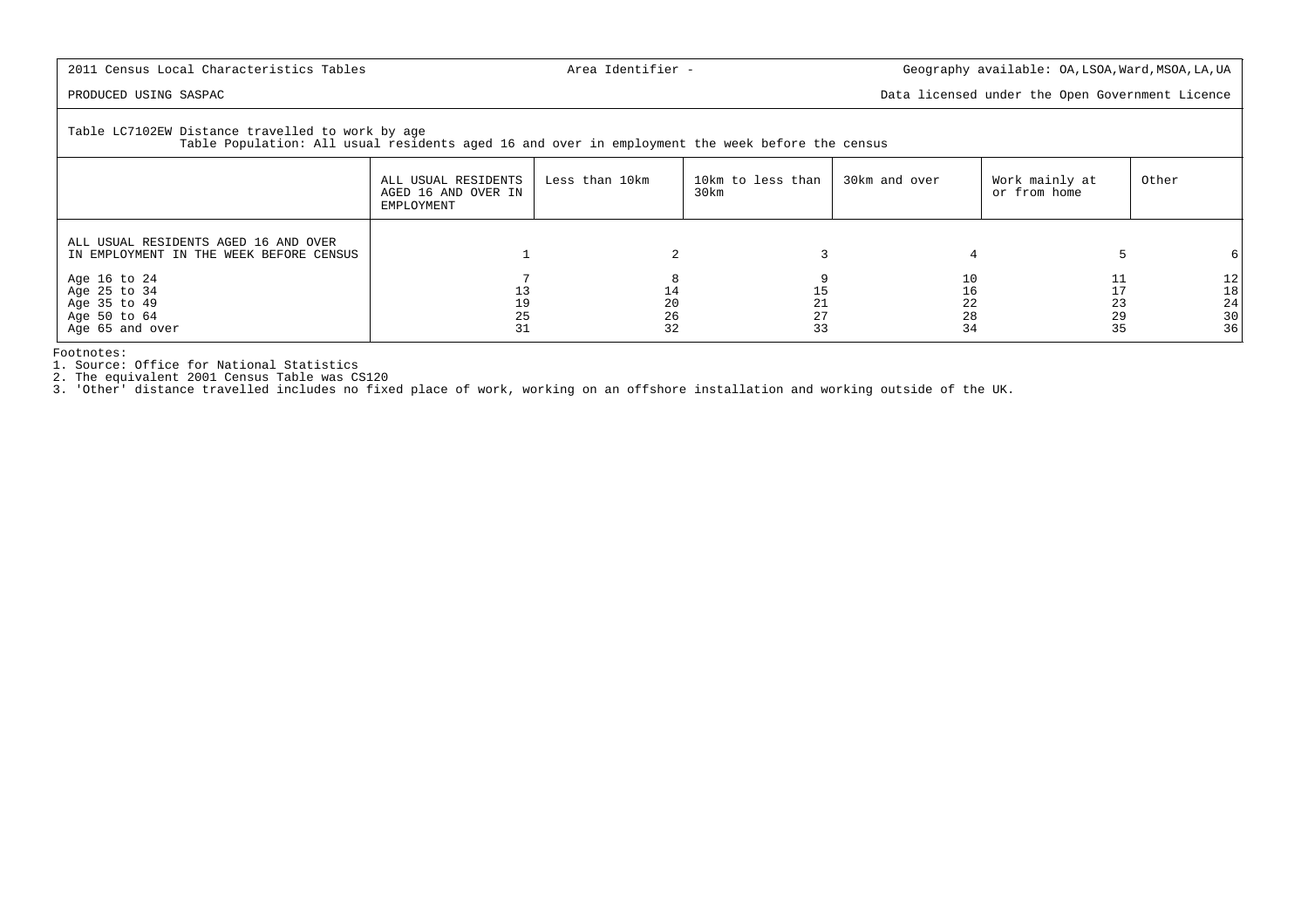PRODUCED USING SASPAC **Data licensed under the Open Government** Licence

Table LC7102EW Distance travelled to work by age

Table Population: All usual residents aged 16 and over in employment the week before the census

|                                                                                 | ALL USUAL RESIDENTS<br>AGED 16 AND OVER IN<br>EMPLOYMENT | Less than 10km | 10km to less than<br>30km | 30km and over        | Work mainly at<br>or from home | Other                      |
|---------------------------------------------------------------------------------|----------------------------------------------------------|----------------|---------------------------|----------------------|--------------------------------|----------------------------|
| ALL USUAL RESIDENTS AGED 16 AND OVER<br>IN EMPLOYMENT IN THE WEEK BEFORE CENSUS |                                                          |                |                           |                      |                                |                            |
| Age 16 to 24<br>Age 25 to 34<br>Age 35 to 49<br>Age 50 to 64<br>Age 65 and over |                                                          | 20<br>26<br>32 | 21<br>27<br>33            | 10<br>22<br>28<br>34 | 29<br>35                       | 12<br>18<br>24<br>30<br>36 |

Footnotes:

1. Source: Office for National Statistics

2. The equivalent 2001 Census Table was CS120

3. 'Other' distance travelled includes no fixed place of work, working on an offshore installation and working outside of the UK.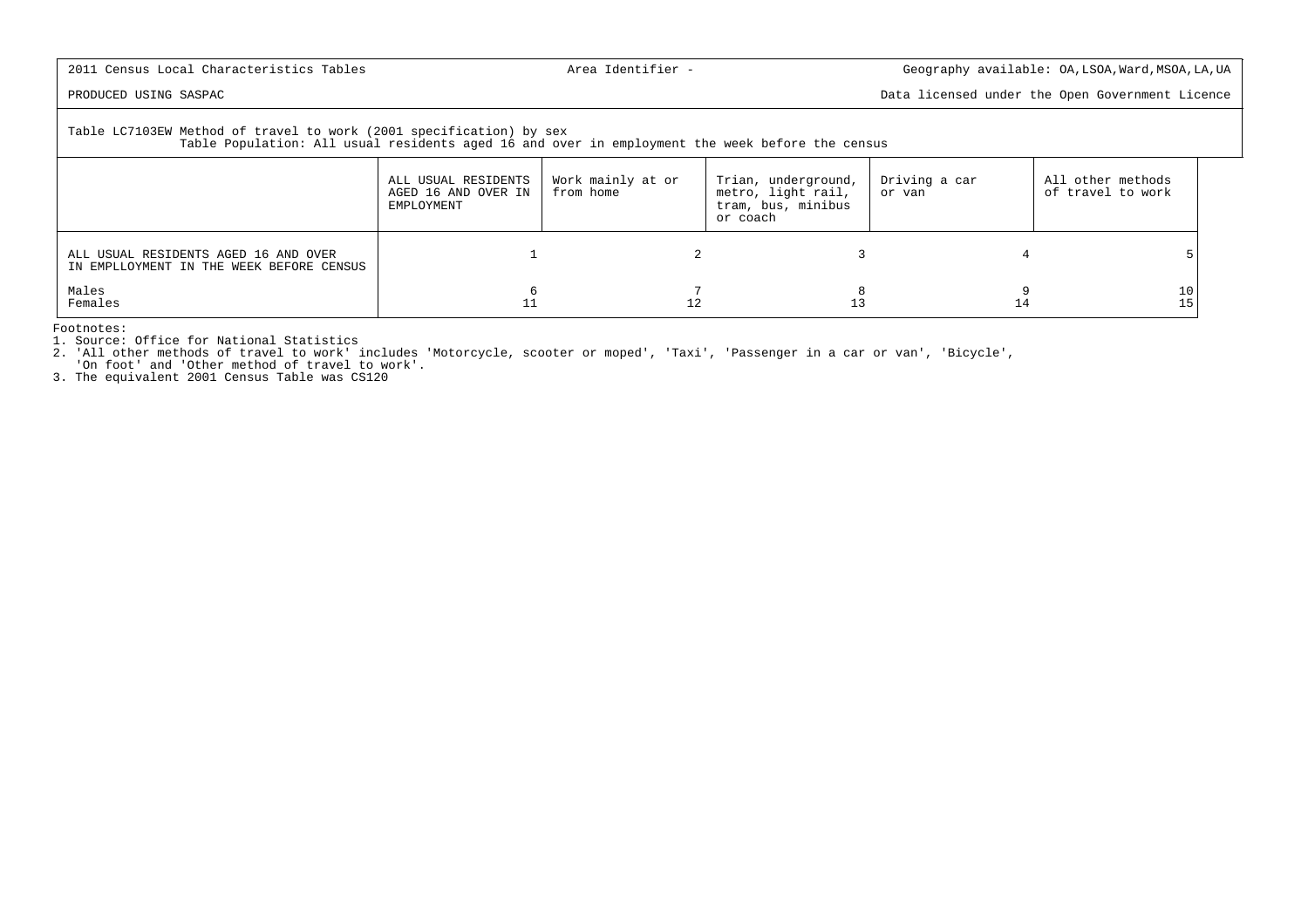PRODUCED USING SASPAC Data licensed under the Open Government Licence

# Table LC7103EW Method of travel to work (2001 specification) by sex

Table Population: All usual residents aged 16 and over in employment the week before the census

|                                                                                  | ALL USUAL RESIDENTS<br>AGED 16 AND OVER IN<br>EMPLOYMENT | Work mainly at or<br>from home | Trian, underground,<br>metro, light rail,<br>tram, bus, minibus<br>or coach | Driving a car<br>or van | All other methods<br>of travel to work |
|----------------------------------------------------------------------------------|----------------------------------------------------------|--------------------------------|-----------------------------------------------------------------------------|-------------------------|----------------------------------------|
| ALL USUAL RESIDENTS AGED 16 AND OVER<br>IN EMPLLOYMENT IN THE WEEK BEFORE CENSUS |                                                          |                                |                                                                             |                         |                                        |
| Males<br>Females                                                                 |                                                          |                                |                                                                             | 14                      | 10                                     |

Footnotes:

1. Source: Office for National Statistics

2. 'All other methods of travel to work' includes 'Motorcycle, scooter or moped', 'Taxi', 'Passenger in a car or van', 'Bicycle',

'On foot' and 'Other method of travel to work'.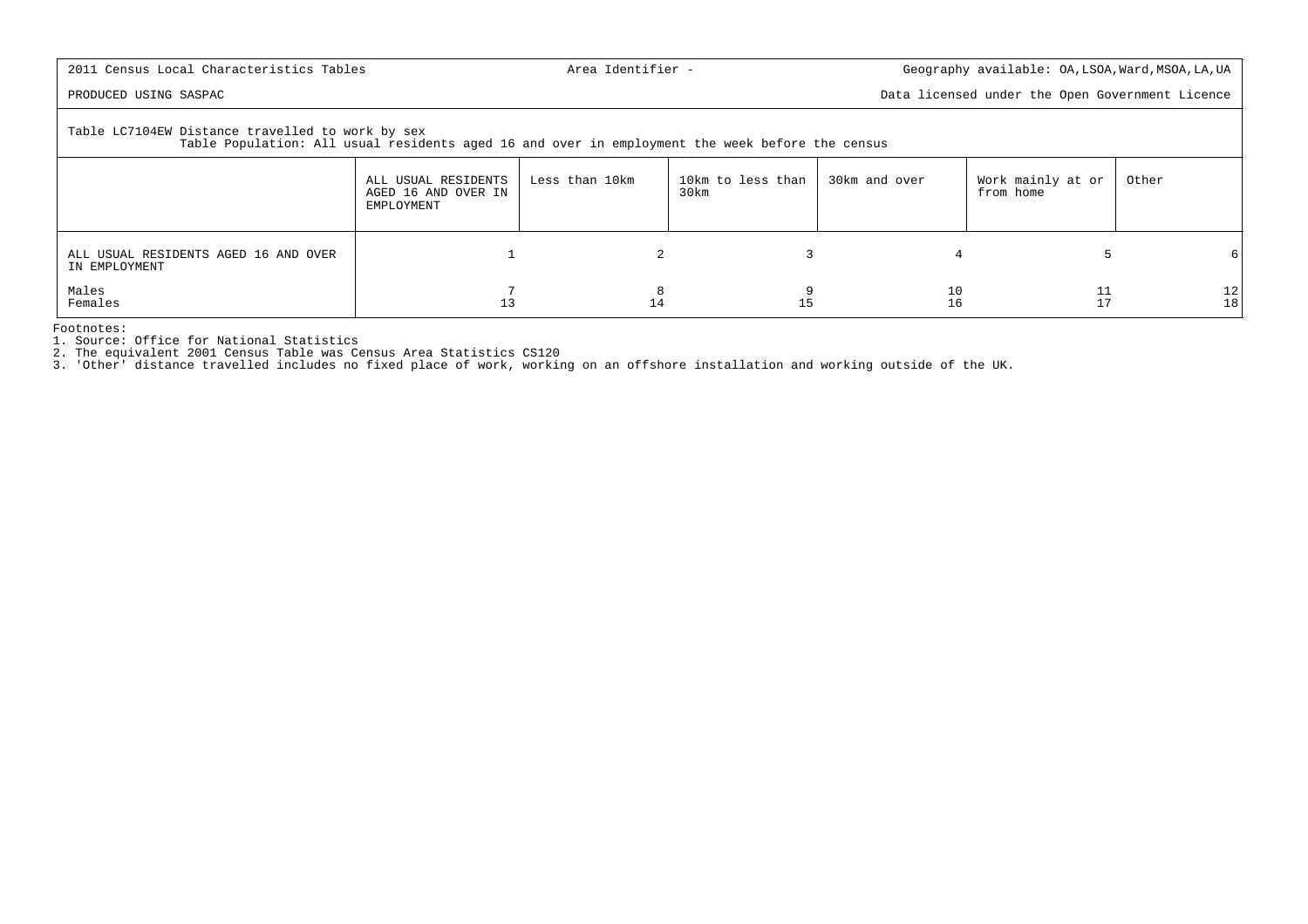PRODUCED USING SASPAC Data licensed under the Open Government Licence

Table LC7104EW Distance travelled to work by sex

Table Population: All usual residents aged 16 and over in employment the week before the census

|                                                       | ALL USUAL RESIDENTS<br>AGED 16 AND OVER IN<br>EMPLOYMENT | Less than 10km | 10km to less than<br>30km | 30km and over | Work mainly at or<br>from home | Other     |
|-------------------------------------------------------|----------------------------------------------------------|----------------|---------------------------|---------------|--------------------------------|-----------|
| ALL USUAL RESIDENTS AGED 16 AND OVER<br>IN EMPLOYMENT |                                                          |                |                           |               |                                | 61        |
| Males<br>Females                                      | 13                                                       | 14             | ᆂ                         | Τp            | 11<br>17                       | 12 <br>18 |

Footnotes:

1. Source: Office for National Statistics

2. The equivalent 2001 Census Table was Census Area Statistics CS120

3. 'Other' distance travelled includes no fixed place of work, working on an offshore installation and working outside of the UK.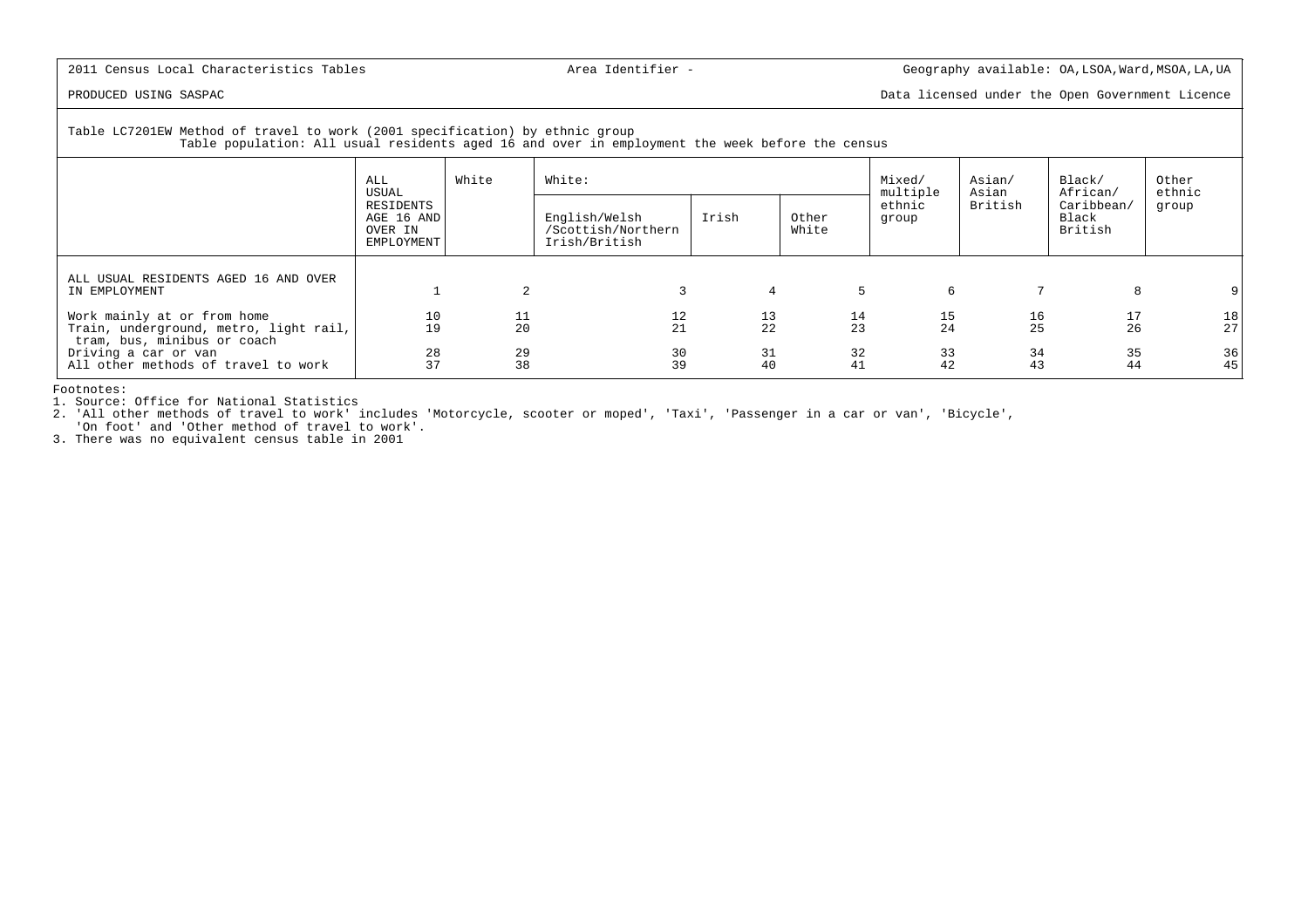PRODUCED USING SASPAC Data licensed under the Open Government Licence

Table LC7201EW Method of travel to work (2001 specification) by ethnic group

Table population: All usual residents aged 16 and over in employment the week before the census

|                                                                                                      | ALL<br>USUAL                                     | White    | White:                                               |                |                | Mixed/<br>multiple | Asian/<br>Asian | Black/<br>African/             | Other<br>ethnic |
|------------------------------------------------------------------------------------------------------|--------------------------------------------------|----------|------------------------------------------------------|----------------|----------------|--------------------|-----------------|--------------------------------|-----------------|
|                                                                                                      | RESIDENTS<br>AGE 16 AND<br>OVER IN<br>EMPLOYMENT |          | English/Welsh<br>/Scottish/Northern<br>Irish/British | Irish          | Other<br>White | ethnic<br>group    | British         | Caribbean/<br>Black<br>British | group           |
| ALL USUAL RESIDENTS AGED 16 AND OVER<br>IN EMPLOYMENT                                                |                                                  | 2        |                                                      | $\overline{4}$ | 5              | 6                  | 7               | 8                              |                 |
| Work mainly at or from home<br>Train, underground, metro, light rail,<br>tram, bus, minibus or coach | 10<br>19                                         | 11<br>20 | 12<br>21                                             | 13<br>22       | 14<br>23       | 15<br>24           | 16<br>25        | 17<br>26                       | 18<br>27        |
| Driving a car or van<br>All other methods of travel to work                                          | 28<br>37                                         | 29<br>38 | 30<br>39                                             | 31<br>40       | 32<br>41       | 33<br>42           | 34<br>43        | 35<br>44                       | 36 <br>45       |

Footnotes:

1. Source: Office for National Statistics

 2. 'All other methods of travel to work' includes 'Motorcycle, scooter or moped', 'Taxi', 'Passenger in a car or van', 'Bicycle','On foot' and 'Other method of travel to work'.

3. There was no equivalent census table in 2001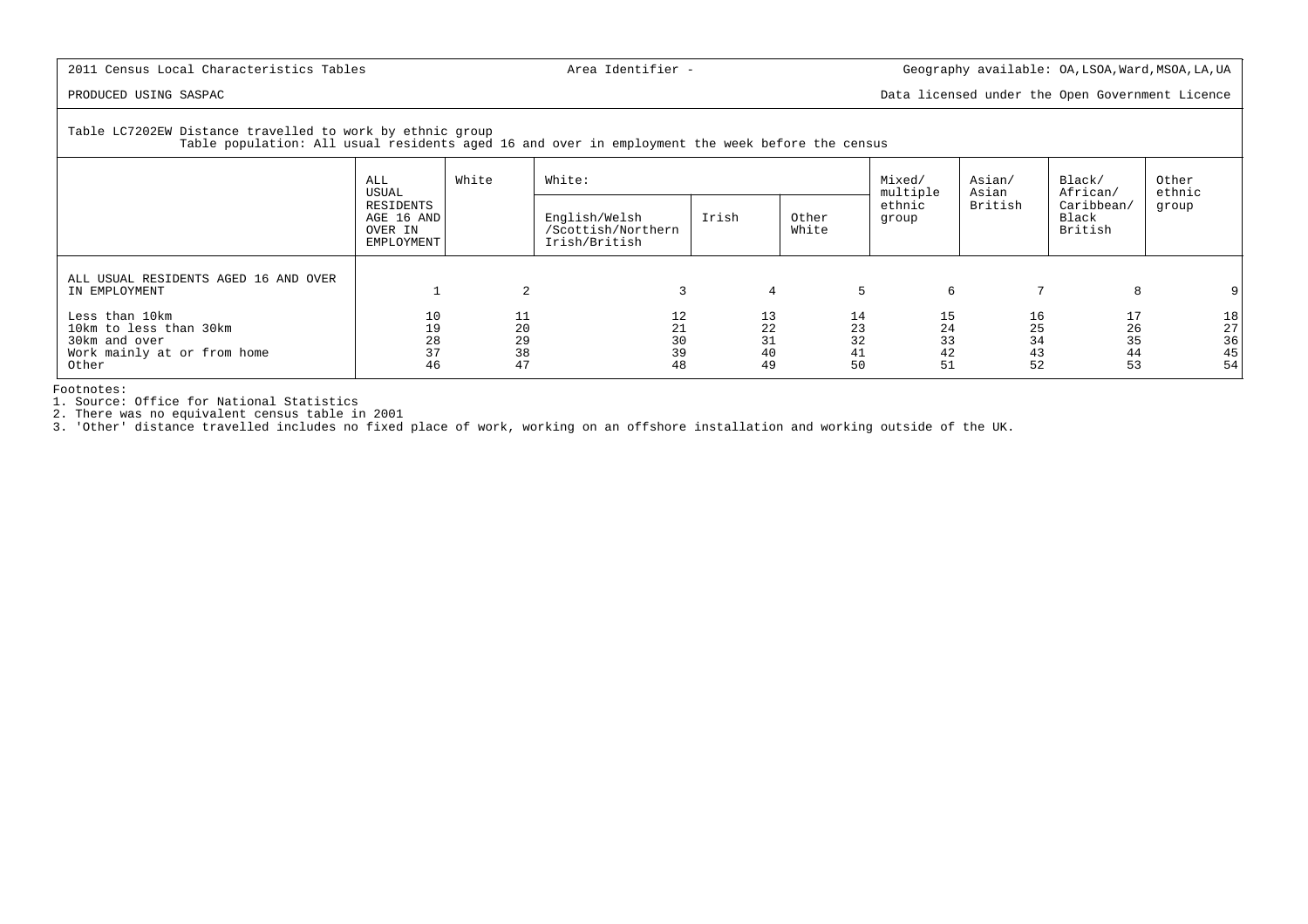PRODUCED USING SASPAC Data licensed under the Open Government Licence

Table LC7202EW Distance travelled to work by ethnic group

Table population: All usual residents aged 16 and over in employment the week before the census

|                                                                                                   | White<br>ALL<br>USUAL      |                            | White:                                               | Mixed/<br>multiple         | Asian/<br>Asian            | Black/<br>African/         | Other<br>ethnic            |                                |                            |
|---------------------------------------------------------------------------------------------------|----------------------------|----------------------------|------------------------------------------------------|----------------------------|----------------------------|----------------------------|----------------------------|--------------------------------|----------------------------|
| RESIDENTS<br>AGE 16 AND<br>OVER IN<br>EMPLOYMENT                                                  |                            |                            | English/Welsh<br>/Scottish/Northern<br>Irish/British | Irish                      | Other<br>White             | ethnic<br>group            | British                    | Caribbean/<br>Black<br>British | group                      |
| ALL USUAL RESIDENTS AGED 16 AND OVER<br>IN EMPLOYMENT                                             |                            | 2                          |                                                      | 4                          | 5                          | 6                          |                            | 8                              |                            |
| Less than 10km<br>10km to less than 30km<br>30km and over<br>Work mainly at or from home<br>Other | 10<br>19<br>28<br>37<br>46 | 11<br>20<br>29<br>38<br>47 | 12<br>21<br>30<br>39<br>48                           | 13<br>22<br>31<br>40<br>49 | 14<br>23<br>32<br>41<br>50 | 15<br>24<br>33<br>42<br>51 | 16<br>25<br>34<br>43<br>52 | 17<br>26<br>35<br>44<br>53     | 18<br>27<br>36<br>45<br>54 |

Footnotes:

1. Source: Office for National Statistics

2. There was no equivalent census table in 2001 3. 'Other' distance travelled includes no fixed place of work, working on an offshore installation and working outside of the UK.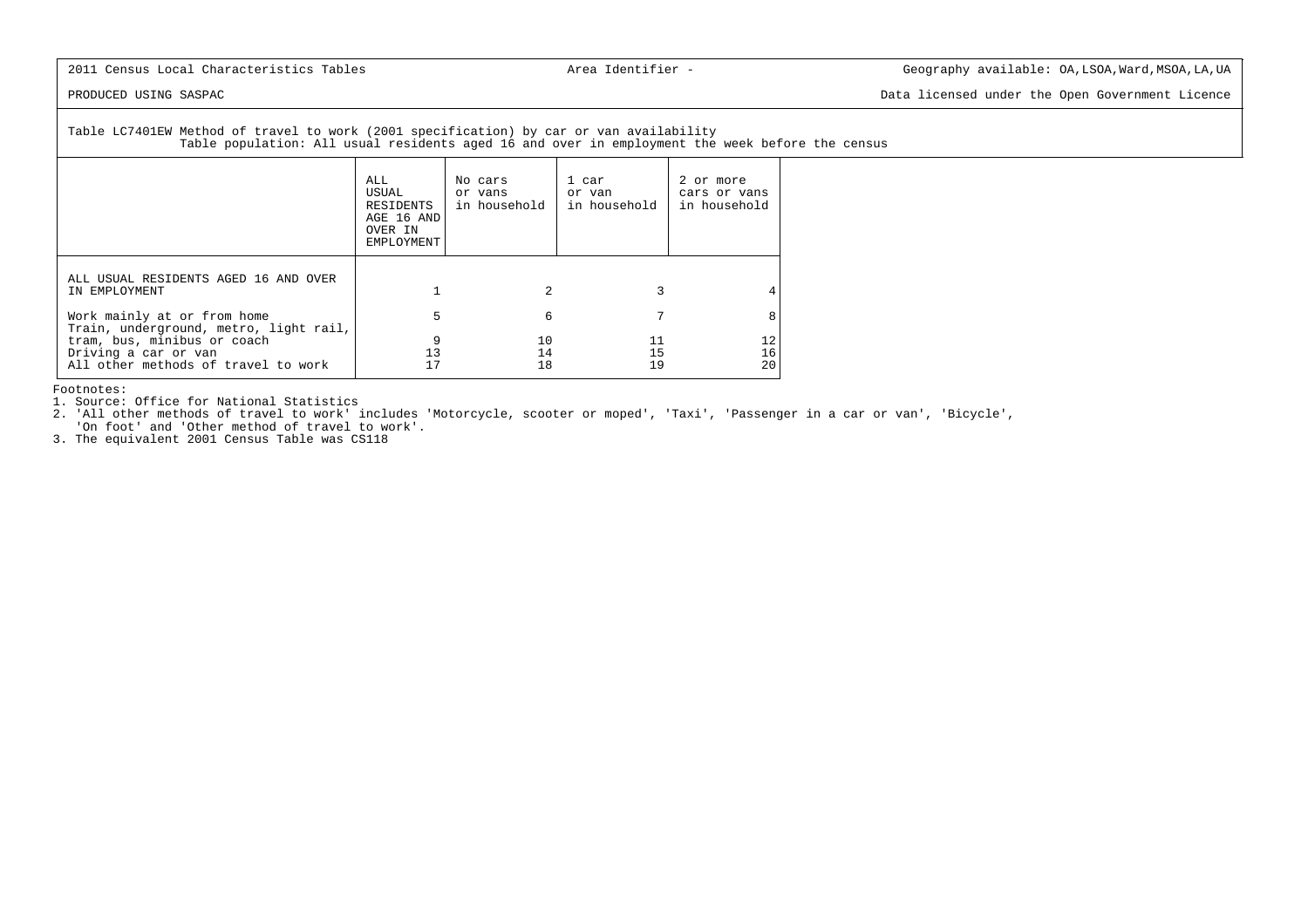PRODUCED USING SASPAC Data licensed under the Open Government Licence

 Table LC7401EW Method of travel to work (2001 specification) by car or van availabilityTable population: All usual residents aged 16 and over in employment the week before the census

|                                                                                            | ALL.<br>USUAL<br>RESIDENTS<br>AGE 16 AND<br>OVER IN<br>EMPLOYMENT | No cars<br>or vans<br>in household | 1 car<br>or van<br>in household | 2 or more<br>cars or vans<br>in household |
|--------------------------------------------------------------------------------------------|-------------------------------------------------------------------|------------------------------------|---------------------------------|-------------------------------------------|
| ALL USUAL RESIDENTS AGED 16 AND OVER<br>IN EMPLOYMENT                                      |                                                                   |                                    |                                 |                                           |
| Work mainly at or from home<br>Train, underground, metro, light rail,                      | 5                                                                 | 6                                  |                                 | 8                                         |
| tram, bus, minibus or coach<br>Driving a car or van<br>All other methods of travel to work | 13                                                                | 10<br>14<br>18                     | 11<br>15<br>19                  | 12<br>16<br>20                            |

Footnotes:

1. Source: Office for National Statistics

 2. 'All other methods of travel to work' includes 'Motorcycle, scooter or moped', 'Taxi', 'Passenger in a car or van', 'Bicycle','On foot' and 'Other method of travel to work'.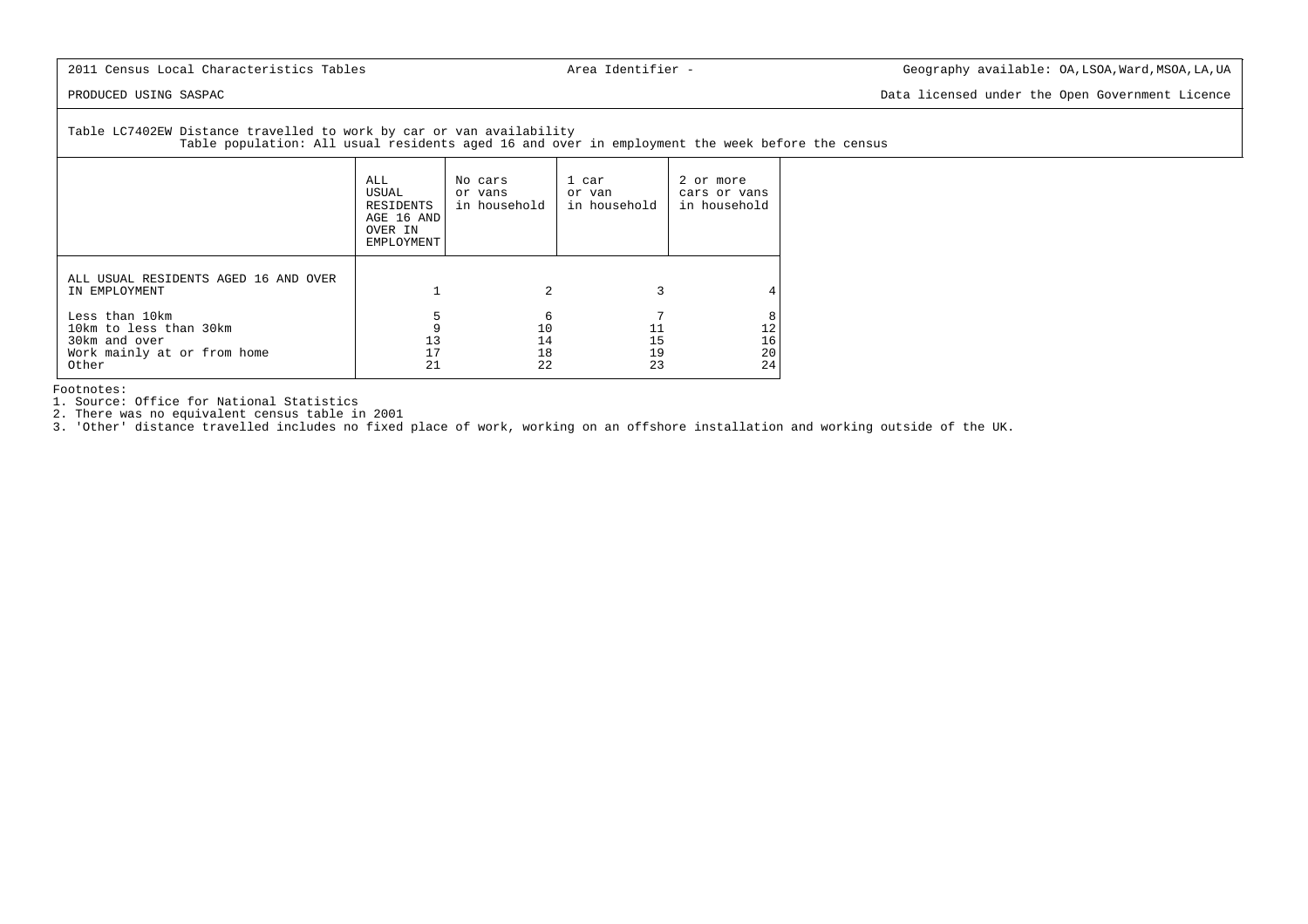PRODUCED USING SASPAC **Data licensed under the Open Government** Licence

Table LC7402EW Distance travelled to work by car or van availability

Table population: All usual residents aged 16 and over in employment the week before the census

|                                                                                                   | ALL<br>USUAL<br>RESIDENTS<br>AGE 16 AND<br>OVER IN<br>EMPLOYMENT | No cars<br>or vans<br>in household | 1 car<br>or van<br>in household | 2 or more<br>cars or vans<br>in household |
|---------------------------------------------------------------------------------------------------|------------------------------------------------------------------|------------------------------------|---------------------------------|-------------------------------------------|
| ALL USUAL RESIDENTS AGED 16 AND OVER<br>IN EMPLOYMENT                                             |                                                                  | $\overline{c}$                     |                                 |                                           |
| Less than 10km<br>10km to less than 30km<br>30km and over<br>Work mainly at or from home<br>Other | 13<br>21                                                         | 6<br>10<br>14<br>18<br>22          | 15<br>19<br>23                  | 8<br>12<br>16<br>20<br>24                 |

Footnotes:

1. Source: Office for National Statistics

2. There was no equivalent census table in 2001

3. 'Other' distance travelled includes no fixed place of work, working on an offshore installation and working outside of the UK.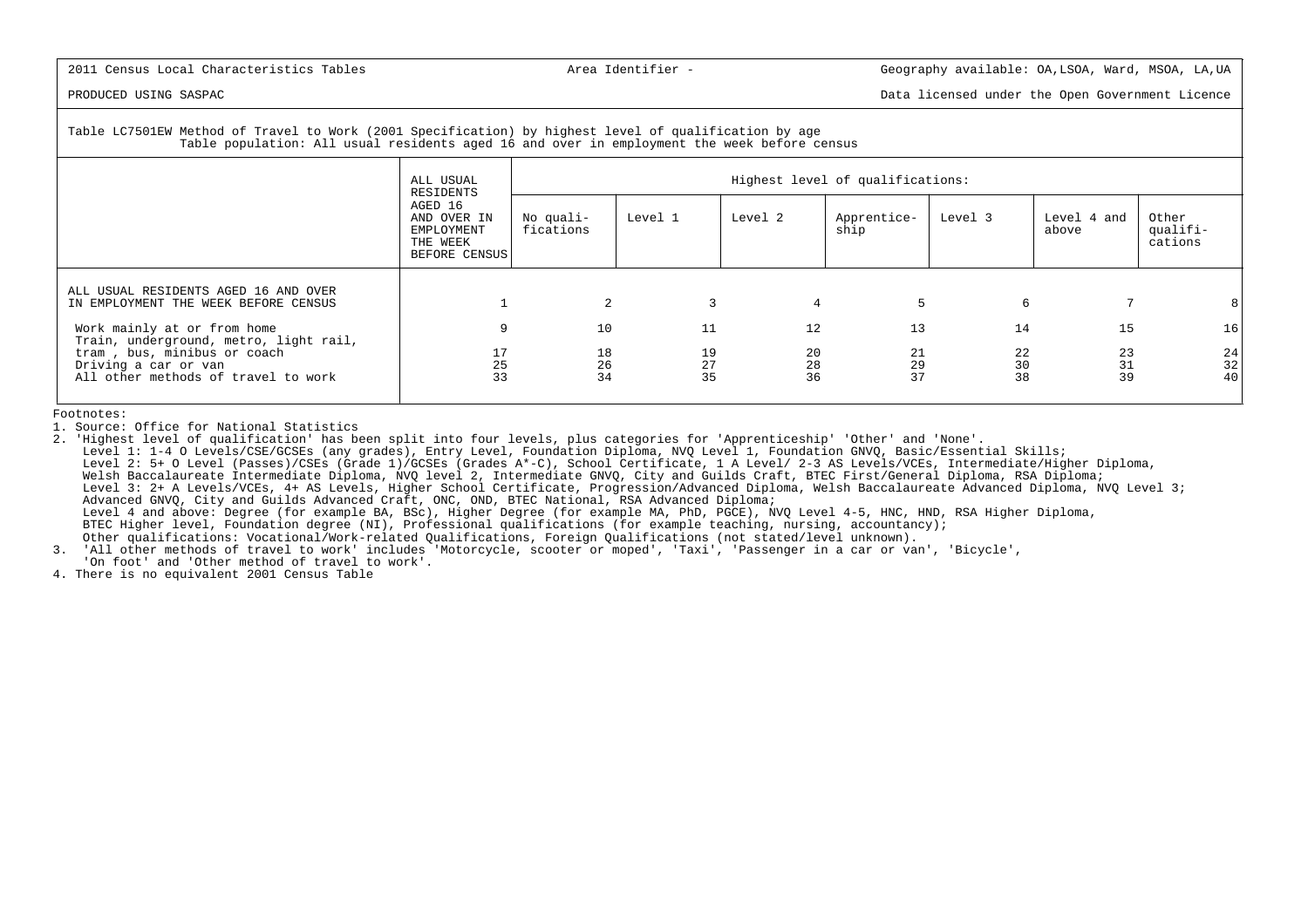PRODUCED USING SASPAC Data licensed under the Open Government Licence

# Table LC7501EW Method of Travel to Work (2001 Specification) by highest level of qualification by ageTable population: All usual residents aged 16 and over in employment the week before census

|                                                                                            | ALL USUAL<br>RESIDENTS                                            |                        | Highest level of qualifications: |                |                     |                |                      |                                               |  |  |  |  |
|--------------------------------------------------------------------------------------------|-------------------------------------------------------------------|------------------------|----------------------------------|----------------|---------------------|----------------|----------------------|-----------------------------------------------|--|--|--|--|
|                                                                                            | AGED 16<br>AND OVER IN<br>EMPLOYMENT<br>THE WEEK<br>BEFORE CENSUS | No quali-<br>fications | Level 1                          | Level 2        | Apprentice-<br>ship | Level 3        | Level 4 and<br>above | Other<br>qualifi-<br>cations                  |  |  |  |  |
| ALL USUAL RESIDENTS AGED 16 AND OVER<br>IN EMPLOYMENT THE WEEK BEFORE CENSUS               |                                                                   | 2                      |                                  |                |                     | 6              |                      |                                               |  |  |  |  |
| Work mainly at or from home<br>Train, underground, metro, light rail,                      | 9                                                                 | 10                     | 11                               | 12             | 13                  | 14             | 15                   | 16                                            |  |  |  |  |
| tram, bus, minibus or coach<br>Driving a car or van<br>All other methods of travel to work | 17<br>25<br>33                                                    | 18<br>26<br>34         | 19<br>27<br>35                   | 20<br>28<br>36 | 21<br>29<br>37      | 22<br>30<br>38 | 23<br>31<br>39       | 24<br>$\begin{array}{c} 32 \\ 40 \end{array}$ |  |  |  |  |

Footnotes:

1. Source: Office for National Statistics

 2. 'Highest level of qualification' has been split into four levels, plus categories for 'Apprenticeship' 'Other' and 'None'. Level 1: 1-4 O Levels/CSE/GCSEs (any grades), Entry Level, Foundation Diploma, NVQ Level 1, Foundation GNVQ, Basic/Essential Skills; Level 2: 5+ O Level (Passes)/CSEs (Grade 1)/GCSEs (Grades A\*-C), School Certificate, 1 A Level/ 2-3 AS Levels/VCEs, Intermediate/Higher Diploma,Welsh Baccalaureate Intermediate Diploma, NVO level 2, Intermediate GNVO, City and Guilds Craft, BTEC First/General Diploma, RSA Diploma; Level 3: 2+ A Levels/VCEs, 4+ AS Levels, Higher School Certificate, Progression/Advanced Diploma, Welsh Baccalaureate Advanced Diploma, NVQ Level 3; Advanced GNVQ, City and Guilds Advanced Craft, ONC, OND, BTEC National, RSA Advanced Diploma; Level 4 and above: Degree (for example BA, BSc), Higher Degree (for example MA, PhD, PGCE), NVQ Level 4-5, HNC, HND, RSA Higher Diploma, BTEC Higher level, Foundation degree (NI), Professional qualifications (for example teaching, nursing, accountancy);Other qualifications: Vocational/Work-related Qualifications, Foreign Qualifications (not stated/level unknown).

 3. 'All other methods of travel to work' includes 'Motorcycle, scooter or moped', 'Taxi', 'Passenger in a car or van', 'Bicycle','On foot' and 'Other method of travel to work'.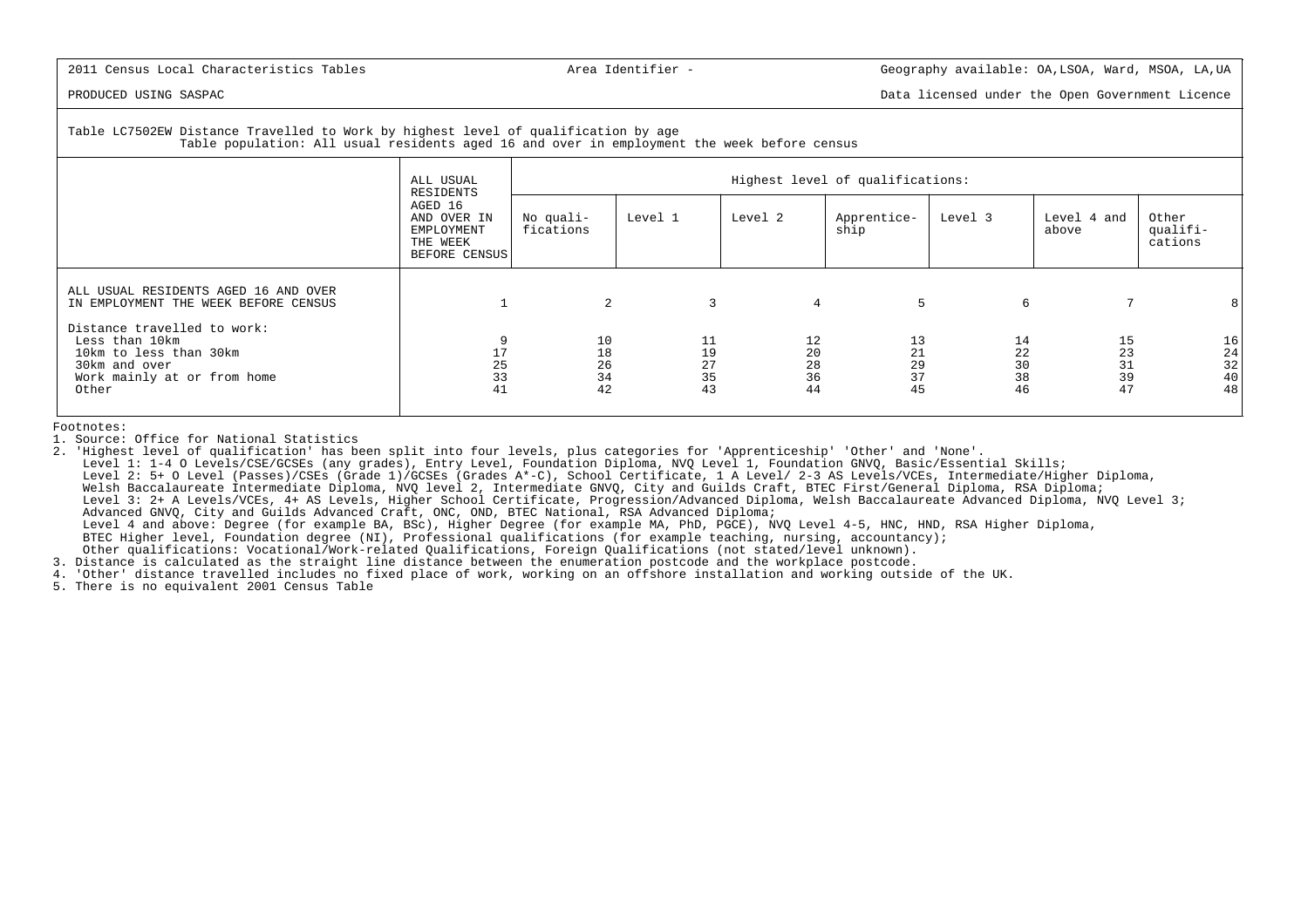PRODUCED USING SASPAC Data licensed under the Open Government Licence

### Table LC7502EW Distance Travelled to Work by highest level of qualification by ageTable population: All usual residents aged 16 and over in employment the week before census

|                                                                                                                                  | ALL USUAL<br>RESIDENTS                                            |                            | Highest level of qualifications: |                |                            |                                |                            |                            |                                                           |  |  |
|----------------------------------------------------------------------------------------------------------------------------------|-------------------------------------------------------------------|----------------------------|----------------------------------|----------------|----------------------------|--------------------------------|----------------------------|----------------------------|-----------------------------------------------------------|--|--|
|                                                                                                                                  | AGED 16<br>AND OVER IN<br>EMPLOYMENT<br>THE WEEK<br>BEFORE CENSUS | No quali-<br>fications     | Level 1                          | Level 2        |                            | Apprentice-<br>ship            | Level 3                    | Level 4 and<br>above       | Other<br>qualifi-<br>cations                              |  |  |
| ALL USUAL RESIDENTS AGED 16 AND OVER<br>IN EMPLOYMENT THE WEEK BEFORE CENSUS                                                     |                                                                   | 2                          |                                  | $\overline{3}$ | $\overline{4}$             | 5                              | 6                          | 7                          | 8                                                         |  |  |
| Distance travelled to work:<br>Less than 10km<br>10km to less than 30km<br>30km and over<br>Work mainly at or from home<br>Other | 17<br>25<br>33<br>41                                              | 10<br>18<br>26<br>34<br>42 | 11<br>19<br>27<br>35<br>43       |                | 12<br>20<br>28<br>36<br>44 | 13<br>$21\,$<br>29<br>37<br>45 | 14<br>22<br>30<br>38<br>46 | 15<br>23<br>31<br>39<br>47 | 16<br>$\begin{array}{c} 24 \\ 32 \\ 40 \end{array}$<br>48 |  |  |

Footnotes:

1. Source: Office for National Statistics

2. 'Highest level of qualification' has been split into four levels, plus categories for 'Apprenticeship' 'Other' and 'None'.

 Level 1: 1-4 O Levels/CSE/GCSEs (any grades), Entry Level, Foundation Diploma, NVQ Level 1, Foundation GNVQ, Basic/Essential Skills; Level 2: 5+ O Level (Passes)/CSEs (Grade 1)/GCSEs (Grades A\*-C), School Certificate, 1 A Level/ 2-3 AS Levels/VCEs, Intermediate/Higher Diploma,Welsh Baccalaureate Intermediate Diploma, NVQ level 2, Intermediate GNVQ, City and Guilds Craft, BTEC First/General Diploma, RSA Diploma; Level 3: 2+ A Levels/VCEs, 4+ AS Levels, Higher School Certificate, Progression/Advanced Diploma, Welsh Baccalaureate Advanced Diploma, NVQ Level 3; Advanced GNVQ, City and Guilds Advanced Craft, ONC, OND, BTEC National, RSA Advanced Diploma; Level 4 and above: Degree (for example BA, BSc), Higher Degree (for example MA, PhD, PGCE), NVQ Level 4-5, HNC, HND, RSA Higher Diploma, BTEC Higher level, Foundation degree (NI), Professional qualifications (for example teaching, nursing, accountancy);Other qualifications: Vocational/Work-related Qualifications, Foreign Qualifications (not stated/level unknown).

3. Distance is calculated as the straight line distance between the enumeration postcode and the workplace postcode.

4. 'Other' distance travelled includes no fixed place of work, working on an offshore installation and working outside of the UK.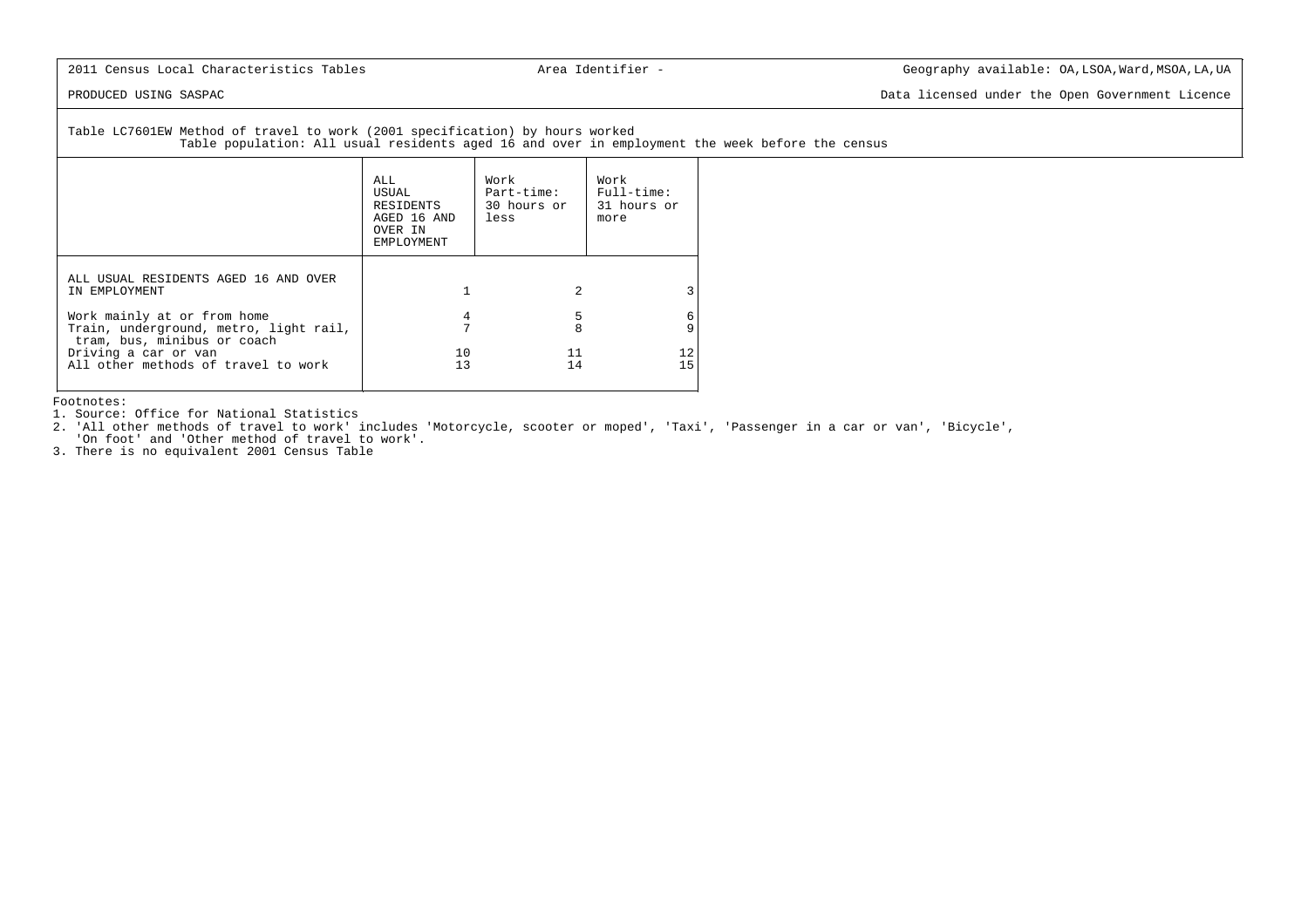PRODUCED USING SASPAC Data licensed under the Open Government Licence

 Table LC7601EW Method of travel to work (2001 specification) by hours workedTable population: All usual residents aged 16 and over in employment the week before the census

|                                                                                                      | ALL.<br>USUAL<br>RESIDENTS<br>AGED 16 AND<br>OVER IN<br>EMPLOYMENT | Work<br>Part-time:<br>30 hours or<br>less | Work<br>Full-time:<br>31 hours or<br>more |
|------------------------------------------------------------------------------------------------------|--------------------------------------------------------------------|-------------------------------------------|-------------------------------------------|
| ALL USUAL RESIDENTS AGED 16 AND OVER<br>IN EMPLOYMENT                                                |                                                                    | 2                                         |                                           |
| Work mainly at or from home<br>Train, underground, metro, light rail,<br>tram, bus, minibus or coach | 4                                                                  | 5<br>8                                    | 6                                         |
| Driving a car or van<br>All other methods of travel to work                                          | 10<br>13                                                           | 11<br>14                                  | 12<br>15                                  |

Footnotes:

1. Source: Office for National Statistics

 2. 'All other methods of travel to work' includes 'Motorcycle, scooter or moped', 'Taxi', 'Passenger in a car or van', 'Bicycle','On foot' and 'Other method of travel to work'.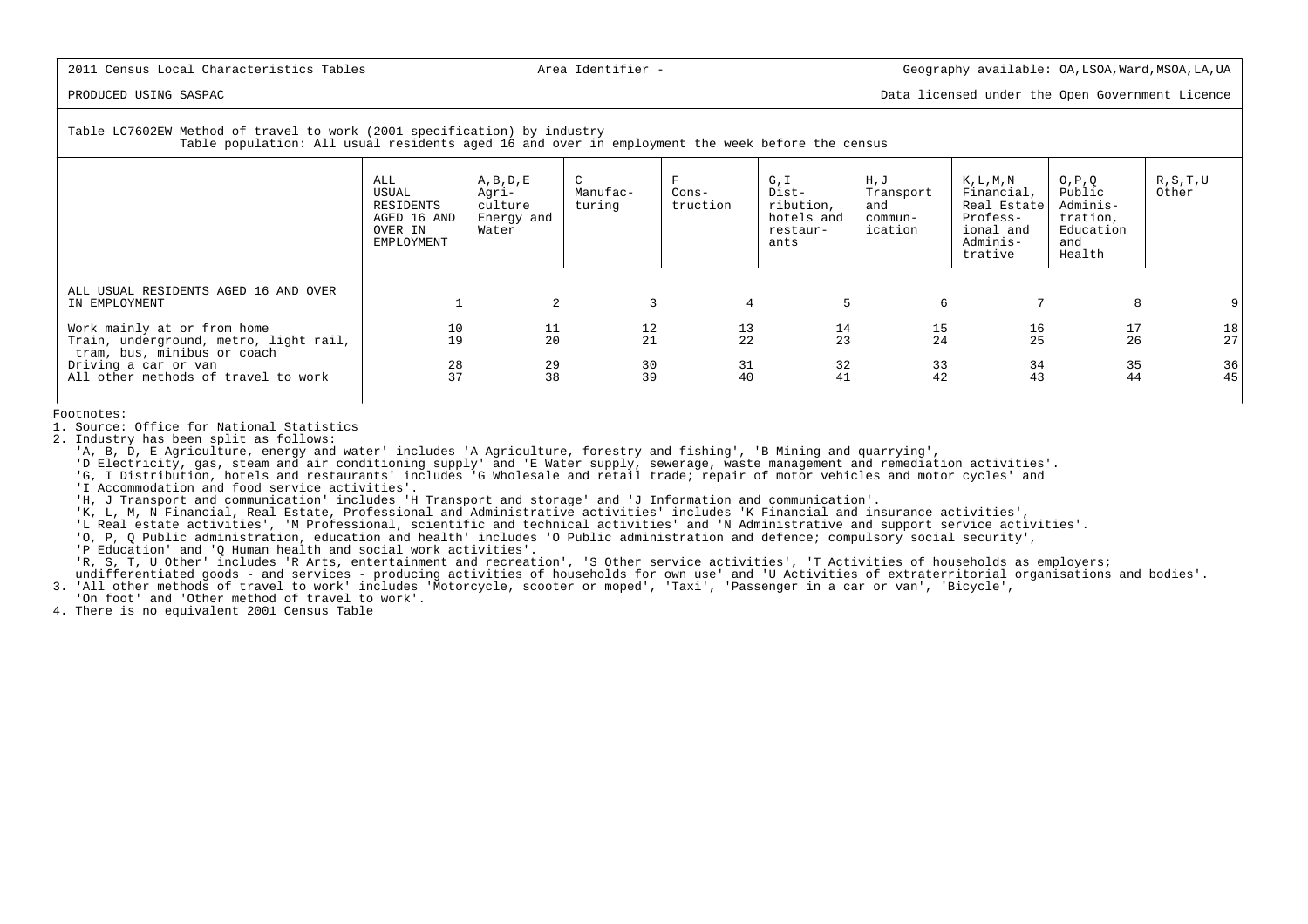PRODUCED USING SASPAC Data licensed under the Open Government Licence

# Table LC7602EW Method of travel to work (2001 specification) by industry

Table population: All usual residents aged 16 and over in employment the week before the census

|                                                                                                      | ALL<br>USUAL<br>RESIDENTS<br>AGED 16 AND<br>OVER IN<br>EMPLOYMENT | $A$ , $B$ , $D$ , $E$<br>Agri-<br>culture<br>Energy and<br>Water | $\mathsf{C}$<br>Manufac-<br>turing | $Cons-$<br>truction                     | G, I<br>Dist-<br>ribution,<br>hotels and<br>restaur-<br>ants | H, J<br>Transport<br>and<br>commun-<br>ication | $K$ , $L$ , $M$ , $N$<br>Financial,<br>Real Estate<br>Profess-<br>ional and<br>Adminis-<br>trative | O, P, Q<br>Public<br>Adminis-<br>tration,<br>Education<br>and<br>Health | R, S, T, U<br>Other |
|------------------------------------------------------------------------------------------------------|-------------------------------------------------------------------|------------------------------------------------------------------|------------------------------------|-----------------------------------------|--------------------------------------------------------------|------------------------------------------------|----------------------------------------------------------------------------------------------------|-------------------------------------------------------------------------|---------------------|
| ALL USUAL RESIDENTS AGED 16 AND OVER<br>IN EMPLOYMENT                                                |                                                                   | 2                                                                | 3                                  | $\overline{4}$                          | 5                                                            | 6                                              |                                                                                                    | 8                                                                       | 9                   |
| Work mainly at or from home<br>Train, underground, metro, light rail,<br>tram, bus, minibus or coach | 10<br>19                                                          | 11<br>20                                                         | 12<br>21                           | $\begin{array}{c} 13 \\ 22 \end{array}$ | $\begin{array}{c} 14 \\ 23 \end{array}$                      | $\frac{15}{24}$                                | 16<br>25                                                                                           | 17<br>26                                                                | 18<br>27            |
| Driving a car or van<br>All other methods of travel to work                                          | 28<br>37                                                          | 29<br>38                                                         | $\frac{30}{39}$                    | 31<br>40                                | 32<br>41                                                     | 33<br>42                                       | 34<br>43                                                                                           | 35<br>44                                                                | $\frac{36}{45}$     |

Footnotes:

1. Source: Office for National Statistics

2. Industry has been split as follows:

'A, B, D, E Agriculture, energy and water' includes 'A Agriculture, forestry and fishing', 'B Mining and quarrying',

"D Electricity, gas, steam and air conditioning supply' and 'E Water supply, sewerage, waste management and remediation activities'.<br>G, I Distribution, hotels and restaurants' includes 'G Wholesale and retail trade; repair

'I Accommodation and food service activities'.

'H, J Transport and communication' includes 'H Transport and storage' and 'J Information and communication'.

'K, L, M, N Financial, Real Estate, Professional and Administrative activities' includes 'K Financial and insurance activities',

'L Real estate activities', 'M Professional, scientific and technical activities' and 'N Administrative and support service activities'.

'O, P, Q Public administration, education and health' includes 'O Public administration and defence; compulsory social security',

'P Education' and 'Q Human health and social work activities'.

'R, S, T, U Other' includes 'R Arts, entertainment and recreation', 'S Other service activities', 'T Activities of households as employers;

undifferentiated goods - and services - producing activities of households for own use' and 'U Activities of extraterritorial organisations and bodies'.

3. 'All other methods of travel to work' includes 'Motorcycle, scooter or moped', 'Taxi', 'Passenger in a car or van', 'Bicycle',

'On foot' and 'Other method of travel to work'.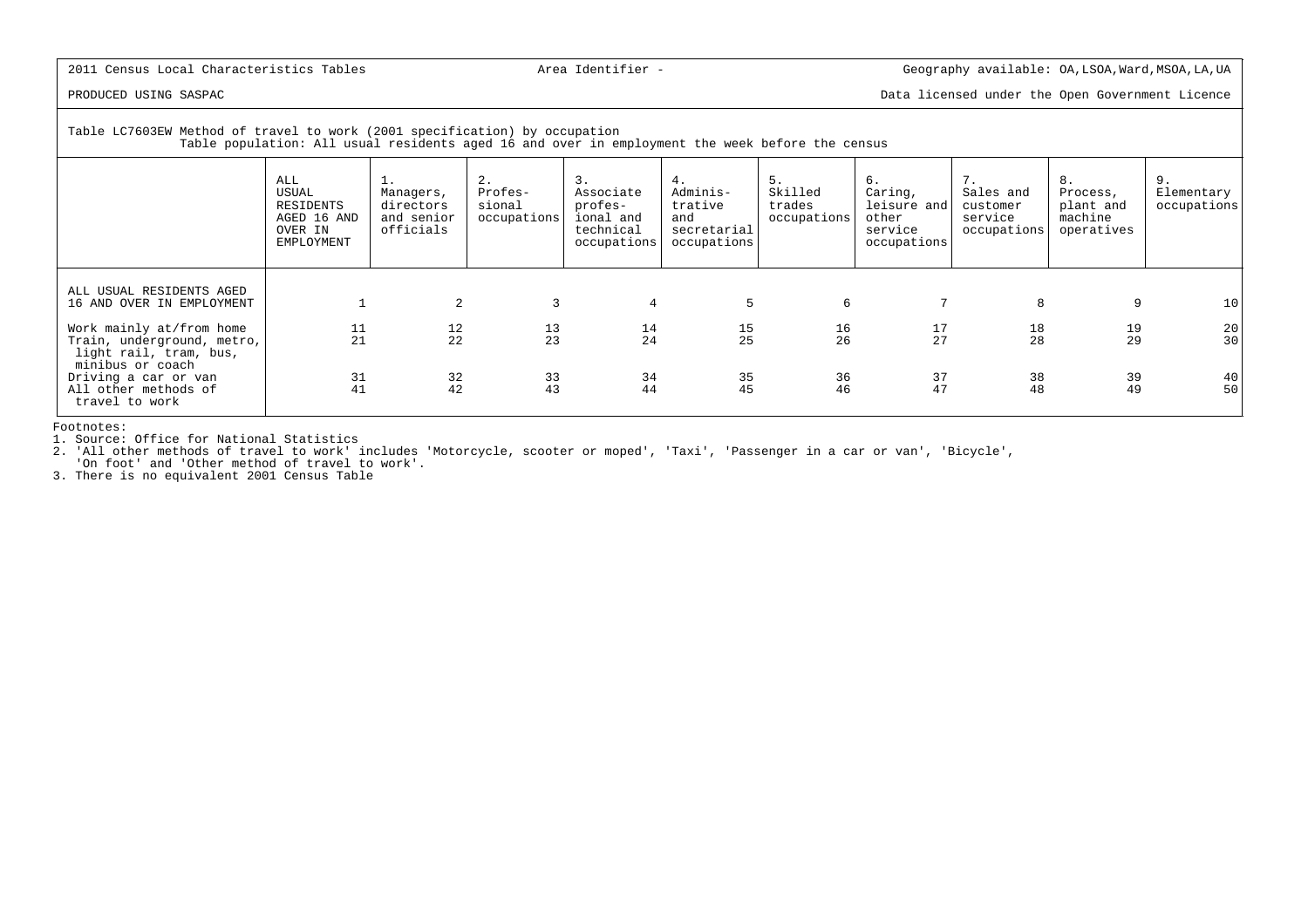PRODUCED USING SASPAC Data licensed under the Open Government Licence

 Table LC7603EW Method of travel to work (2001 specification) by occupationTable population: All usual residents aged 16 and over in employment the week before the census

|                                                                                    | ALL<br>USUAL<br>RESIDENTS<br>AGED 16 AND<br>OVER IN<br>EMPLOYMENT | ⊥ .<br>Managers,<br>directors<br>and senior<br>officials | 2.<br>Profes-<br>sional<br>occupations  | 3.<br>Associate<br>profes-<br>ional and<br>technical<br>occupations | 4.<br>Adminis-<br>trative<br>and<br>secretarial<br>occupations | 5.<br>Skilled<br>trades<br>occupations | б.<br>Caring,<br>leisure and<br>other<br>service<br>occupations | 7.<br>Sales and<br>customer<br>service<br>occupations | 8.<br>Process,<br>plant and<br>machine<br>operatives | 9.<br>Elementary<br>occupations         |
|------------------------------------------------------------------------------------|-------------------------------------------------------------------|----------------------------------------------------------|-----------------------------------------|---------------------------------------------------------------------|----------------------------------------------------------------|----------------------------------------|-----------------------------------------------------------------|-------------------------------------------------------|------------------------------------------------------|-----------------------------------------|
| ALL USUAL RESIDENTS AGED<br>16 AND OVER IN EMPLOYMENT                              |                                                                   | 2                                                        | 3                                       | 4                                                                   | 5                                                              | 6                                      |                                                                 | 8                                                     | 9                                                    | 10                                      |
| Work mainly at/from home<br>Train, underground, metro,<br>light rail, tram, bus,   | 11<br>21                                                          | $\begin{array}{c} 12 \\ 22 \end{array}$                  | $\begin{array}{c} 13 \\ 23 \end{array}$ | 14<br>24                                                            | $\frac{15}{25}$                                                | $\frac{16}{26}$                        | 17<br>27                                                        | 18<br>28                                              | 19<br>29                                             | $\begin{array}{c} 20 \\ 30 \end{array}$ |
| minibus or coach<br>Driving a car or van<br>All other methods of<br>travel to work | 31<br>41                                                          | 32<br>42                                                 | 33<br>43                                | 34<br>44                                                            | 35<br>45                                                       | 36<br>46                               | 37<br>47                                                        | 38<br>48                                              | 39<br>49                                             | 40<br>50                                |

Footnotes:

1. Source: Office for National Statistics

2. 'All other methods of travel to work' includes 'Motorcycle, scooter or moped', 'Taxi', 'Passenger in a car or van', 'Bicycle',

'On foot' and 'Other method of travel to work'. 3. There is no equivalent 2001 Census Table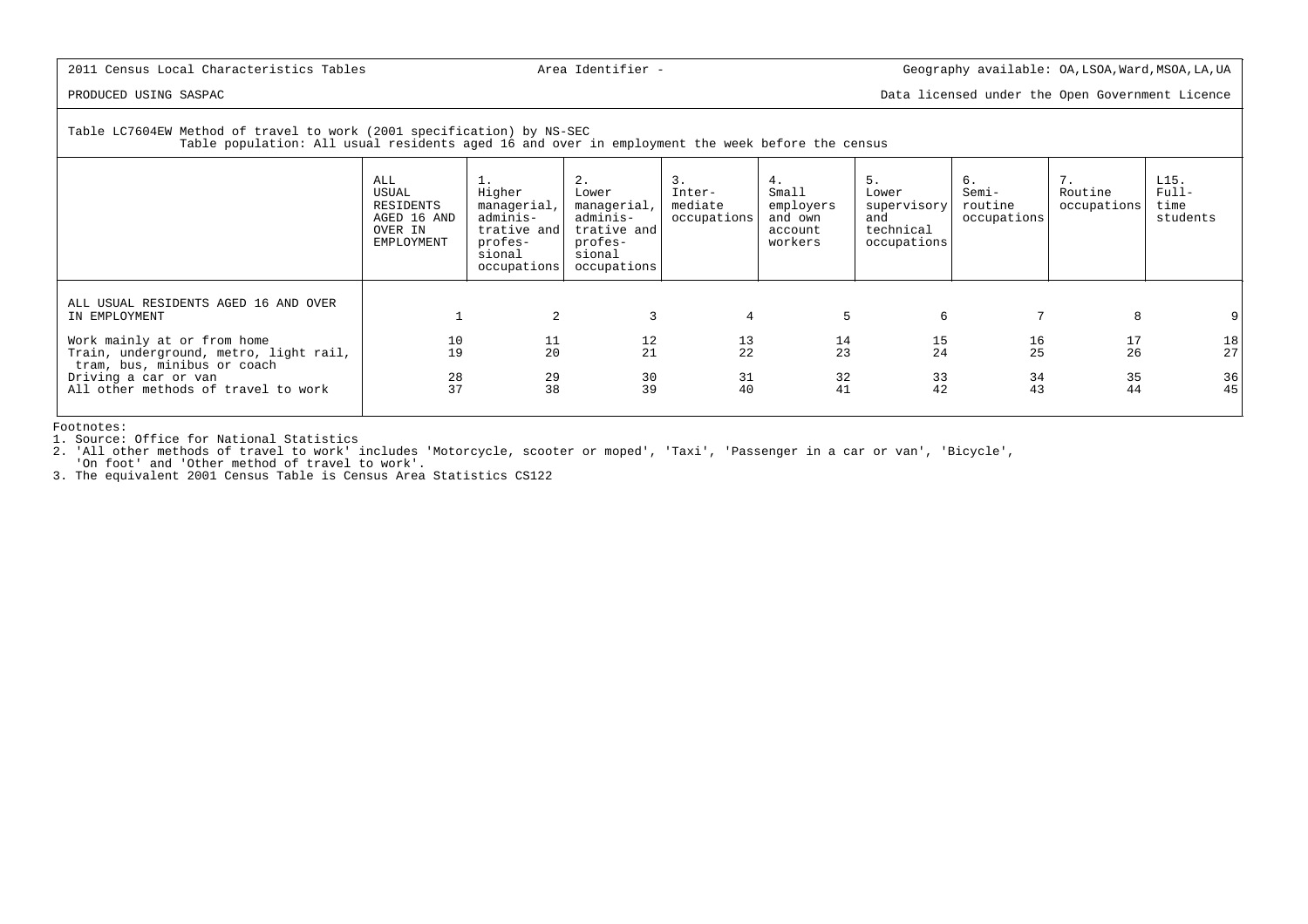PRODUCED USING SASPAC Data licensed under the Open Government Licence

# Table LC7604EW Method of travel to work (2001 specification) by NS-SEC

Table population: All usual residents aged 16 and over in employment the week before the census

|                                                                                                      | ALL<br>USUAL<br>RESIDENTS<br>AGED 16 AND<br>OVER IN<br>EMPLOYMENT | <b>1.</b><br>Higher<br>managerial,<br>adminis-<br>trative and<br>profes-<br>sional<br>occupations | 2.<br>Lower<br>managerial,<br>adminis-<br>trative and<br>profes-<br>sional<br>occupations | 3.<br>Inter-<br>mediate<br>occupations  | 4.<br>Small<br>employers<br>and own<br>account<br>workers | 5.<br>Lower<br>supervisory<br>and<br>technical<br>occupations | б.<br>Semi-<br>routine<br>occupations | 7.<br>Routine<br>occupations | L15.<br>$Full-$<br>time<br>students |
|------------------------------------------------------------------------------------------------------|-------------------------------------------------------------------|---------------------------------------------------------------------------------------------------|-------------------------------------------------------------------------------------------|-----------------------------------------|-----------------------------------------------------------|---------------------------------------------------------------|---------------------------------------|------------------------------|-------------------------------------|
| ALL USUAL RESIDENTS AGED 16 AND OVER<br>IN EMPLOYMENT                                                |                                                                   | 2                                                                                                 | 3                                                                                         | 4                                       | 5                                                         | 6                                                             |                                       | 8                            |                                     |
| Work mainly at or from home<br>Train, underground, metro, light rail,<br>tram, bus, minibus or coach | $10\,$<br>19                                                      | 11<br>20                                                                                          | 12<br>21                                                                                  | $\begin{array}{c} 13 \\ 22 \end{array}$ | $\begin{array}{c} 14 \\ 23 \end{array}$                   | $\frac{15}{24}$                                               | 16<br>25                              | 17<br>26                     | 18<br>27                            |
| Driving a car or van<br>All other methods of travel to work                                          | $\frac{28}{37}$                                                   | 29<br>38                                                                                          | 30<br>39                                                                                  | 31<br>40                                | 32<br>41                                                  | 33<br>42                                                      | 34<br>43                              | 35<br>44                     | $\frac{36}{45}$                     |

Footnotes:

1. Source: Office for National Statistics

 2. 'All other methods of travel to work' includes 'Motorcycle, scooter or moped', 'Taxi', 'Passenger in a car or van', 'Bicycle','On foot' and 'Other method of travel to work'.

3. The equivalent 2001 Census Table is Census Area Statistics CS122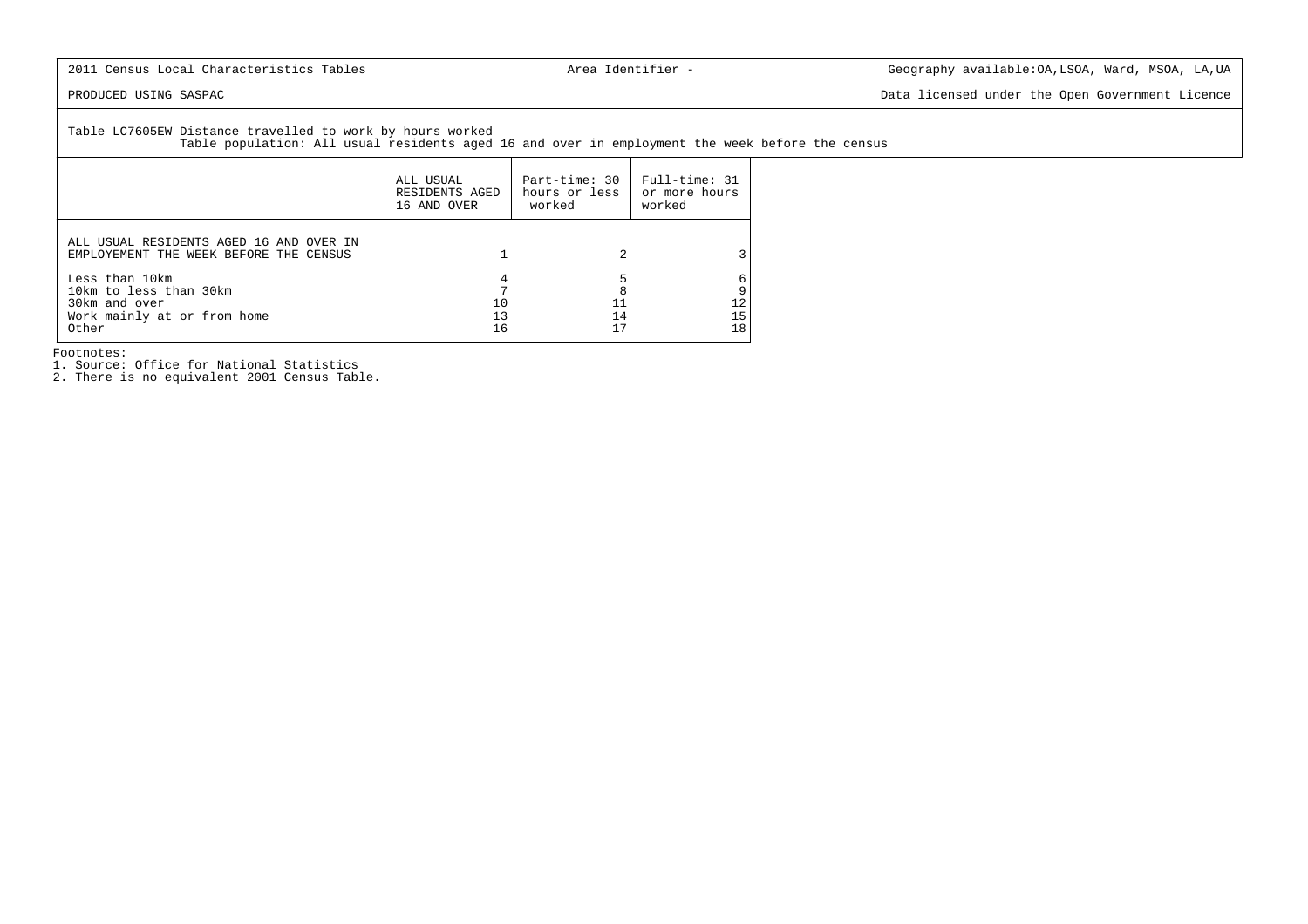PRODUCED USING SASPAC Data licensed under the Open Government Licence

Table LC7605EW Distance travelled to work by hours worked

Table population: All usual residents aged 16 and over in employment the week before the census

|                                                                                                   | ALL USUAL<br>RESIDENTS AGED<br>16 AND OVER | Part-time: 30<br>hours or less<br>worked | Full-time: 31<br>or more hours<br>worked |
|---------------------------------------------------------------------------------------------------|--------------------------------------------|------------------------------------------|------------------------------------------|
| ALL USUAL RESIDENTS AGED 16 AND OVER IN<br>EMPLOYEMENT THE WEEK BEFORE THE CENSUS                 |                                            |                                          |                                          |
| Less than 10km<br>10km to less than 30km<br>30km and over<br>Work mainly at or from home<br>Other | 10<br>13<br>16                             | 8<br>14                                  | 15<br>18                                 |

Footnotes:

1. Source: Office for National Statistics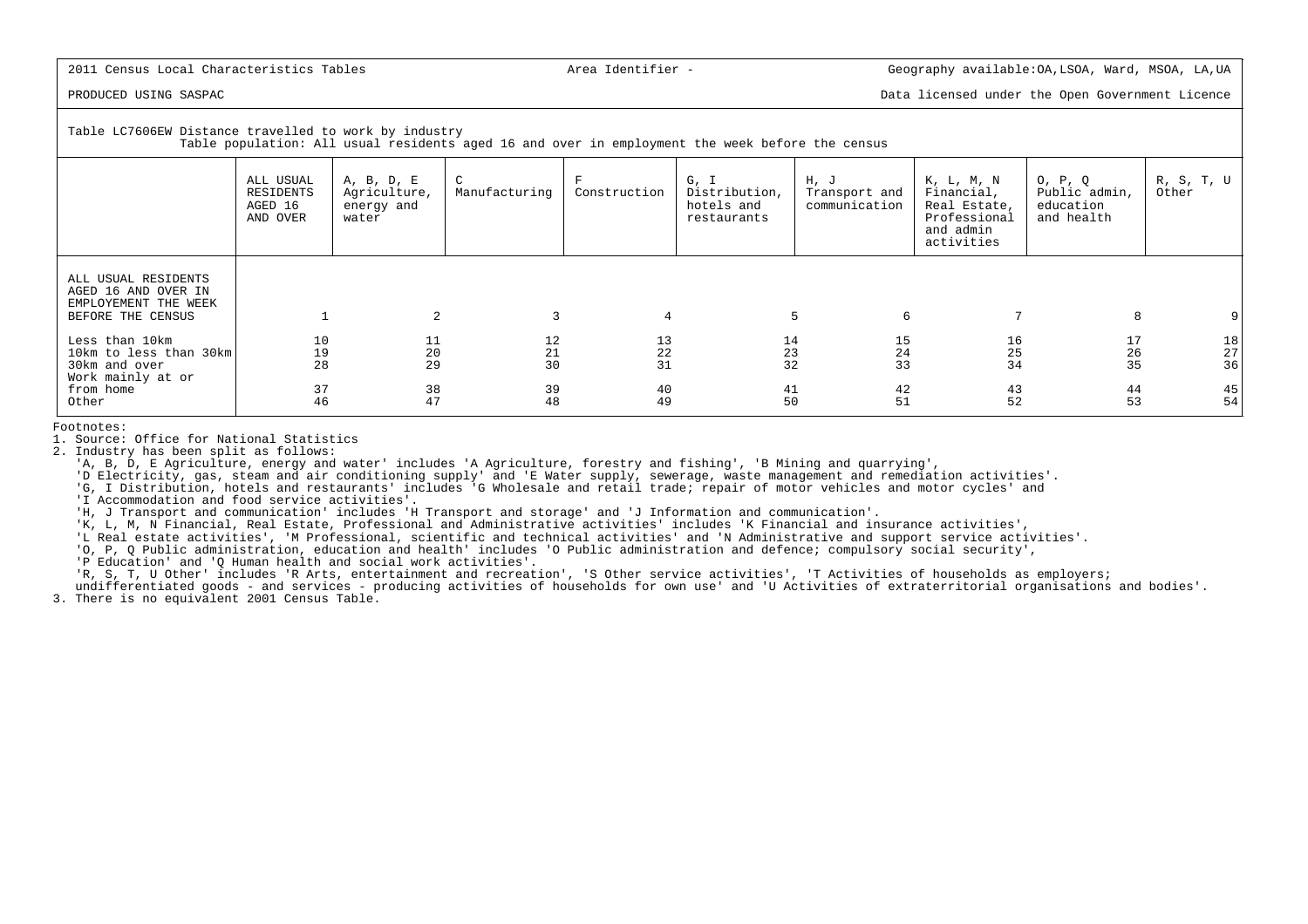PRODUCED USING SASPAC Data licensed under the Open Government Licence

Table LC7606EW Distance travelled to work by industry

Table population: All usual residents aged 16 and over in employment the week before the census

|                                                                                         | ALL USUAL<br>RESIDENTS<br>AGED 16<br>AND OVER | A, B, D, E<br>Agriculture,<br>energy and<br>water | C<br>Manufacturing | F<br>Construction                             | G, I<br>Distribution,<br>hotels and<br>restaurants | H, J<br>Transport and<br>communication | K, L, M, N<br>Financial,<br>Real Estate,<br>Professional<br>and admin<br>activities | O, P, Q<br>Public admin,<br>education<br>and health | R, S, T, U<br>Other                           |
|-----------------------------------------------------------------------------------------|-----------------------------------------------|---------------------------------------------------|--------------------|-----------------------------------------------|----------------------------------------------------|----------------------------------------|-------------------------------------------------------------------------------------|-----------------------------------------------------|-----------------------------------------------|
| ALL USUAL RESIDENTS<br>AGED 16 AND OVER IN<br>EMPLOYEMENT THE WEEK<br>BEFORE THE CENSUS |                                               | 2                                                 | 3                  | 4                                             |                                                    | 6<br>5                                 |                                                                                     | 8                                                   |                                               |
| Less than 10km<br>10km to less than 30km<br>30km and over<br>Work mainly at or          | 10<br>19<br>28                                | 11<br>20<br>29                                    | 12<br>21<br>30     | 13<br>$\begin{array}{c} 22 \\ 31 \end{array}$ | 14<br>$\begin{array}{c} 23 \\ 32 \end{array}$      | 15<br>24<br>33                         | 16<br>25<br>34                                                                      | 17<br>26<br>35                                      | $\begin{array}{c} 18 \\ 27 \\ 36 \end{array}$ |
| from home<br>Other                                                                      | 37<br>46                                      | 38<br>47                                          | 39<br>48           | 40<br>49                                      | $\begin{array}{c} 41 \\ 50 \end{array}$            | 42<br>51                               | 43<br>52                                                                            | 44<br>53                                            | 45<br>54                                      |

Footnotes:

1. Source: Office for National Statistics

2. Industry has been split as follows:

'A, B, D, E Agriculture, energy and water' includes 'A Agriculture, forestry and fishing', 'B Mining and quarrying',

'D Electricity, gas, steam and air conditioning supply' and 'E Water supply, sewerage, waste management and remediation activities'.

'G, I Distribution, hotels and restaurants' includes 'G Wholesale and retail trade; repair of motor vehicles and motor cycles' and

'I Accommodation and food service activities'.

'H, J Transport and communication' includes 'H Transport and storage' and 'J Information and communication'.

'K, L, M, N Financial, Real Estate, Professional and Administrative activities' includes 'K Financial and insurance activities',

'L Real estate activities', 'M Professional, scientific and technical activities' and 'N Administrative and support service activities'.

'O, P, Q Public administration, education and health' includes 'O Public administration and defence; compulsory social security',

'P Education' and 'Q Human health and social work activities'.

'R, S, T, U Other' includes 'R Arts, entertainment and recreation', 'S Other service activities', 'T Activities of households as employers;

 undifferentiated goods - and services - producing activities of households for own use' and 'U Activities of extraterritorial organisations and bodies'.3. There is no equivalent 2001 Census Table.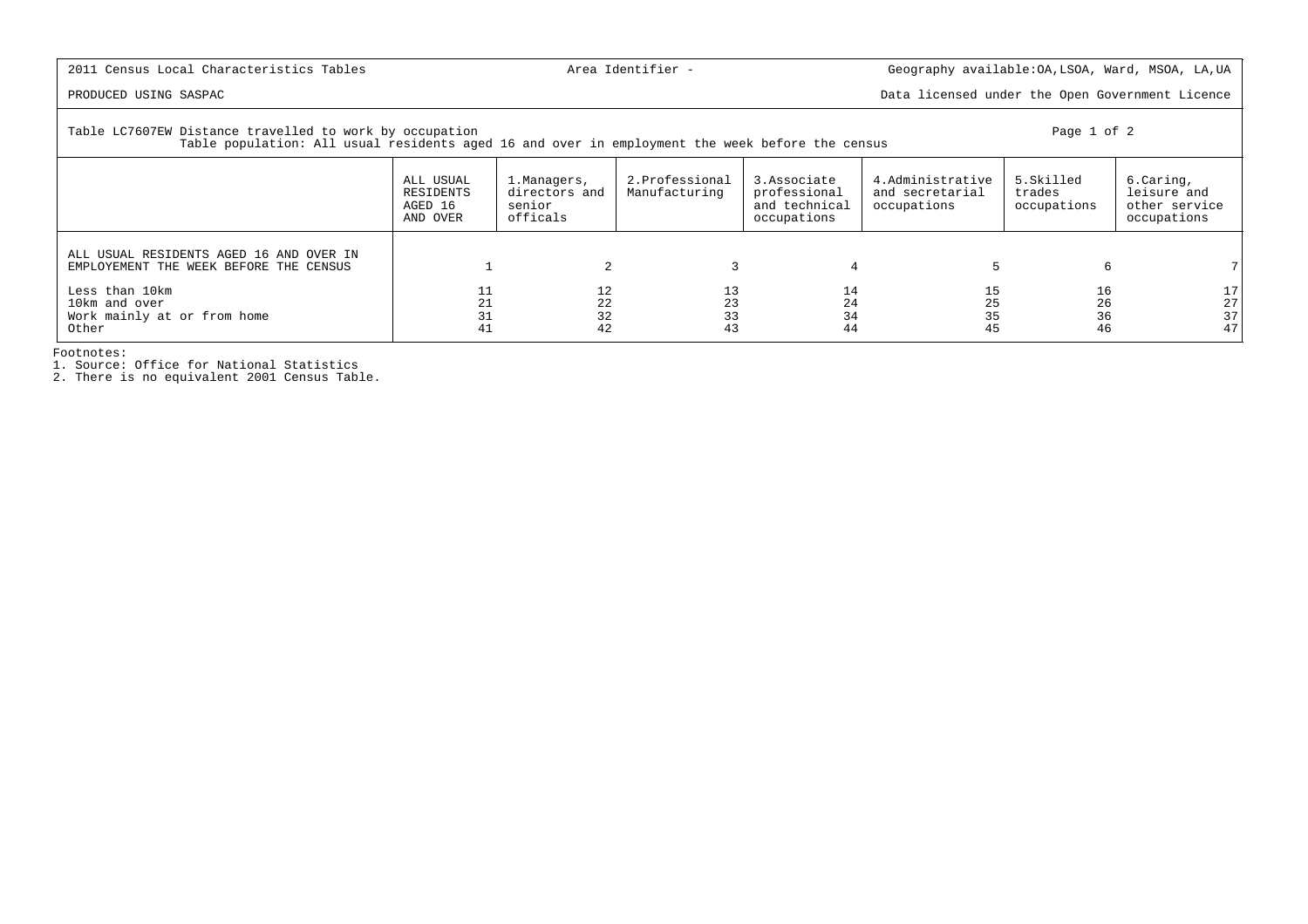PRODUCED USING SASPAC Data licensed under the Open Government Licence

Table LC7607EW Distance travelled to work by occupation example and the set of 2 and the page 1 of 2

Table population: All usual residents aged 16 and over in employment the week before the census

|                                                                                   | ALL USUAL<br>RESIDENTS<br>AGED 16<br>AND OVER | 1.Managers,<br>directors and<br>senior<br>officals | 2.Professional<br>Manufacturing | 3.Associate<br>professional<br>and technical<br>occupations | 4. Administrative<br>and secretarial<br>occupations | 5.Skilled<br>trades<br>occupations | 6.Caring,<br>leisure and<br>other service<br>occupations |
|-----------------------------------------------------------------------------------|-----------------------------------------------|----------------------------------------------------|---------------------------------|-------------------------------------------------------------|-----------------------------------------------------|------------------------------------|----------------------------------------------------------|
| ALL USUAL RESIDENTS AGED 16 AND OVER IN<br>EMPLOYEMENT THE WEEK BEFORE THE CENSUS |                                               |                                                    |                                 |                                                             |                                                     | 6                                  |                                                          |
| Less than 10km<br>10km and over<br>Work mainly at or from home<br>Other           |                                               | 12<br>22<br>32<br>42                               | 13<br>23<br>33<br>43            | 14<br>24<br>34<br>44                                        | 15<br>35<br>45                                      | 16<br>26<br>36<br>46               | 17 <br>27 <br>37<br>47                                   |

Footnotes:

1. Source: Office for National Statistics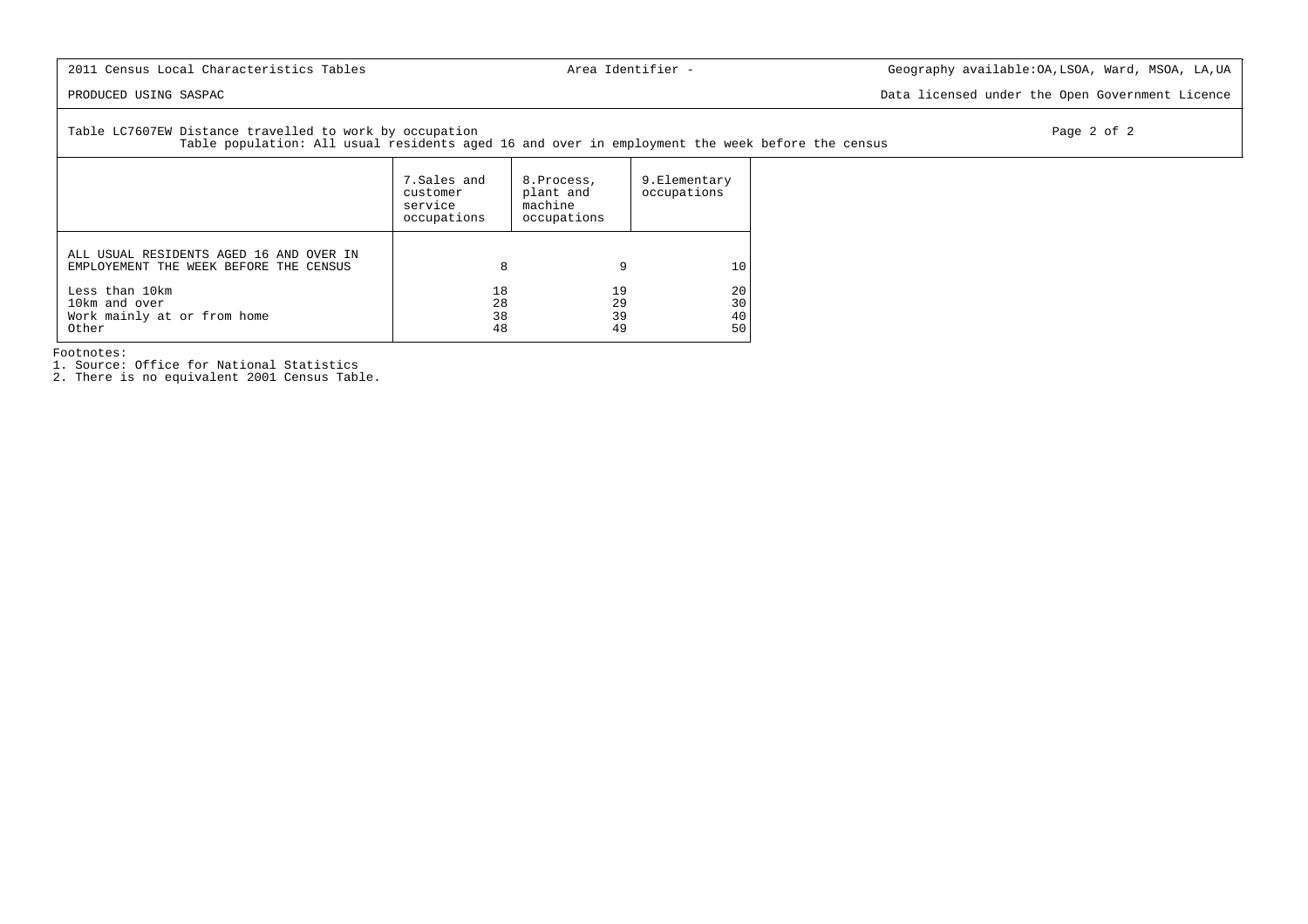PRODUCED USING SASPAC Data licensed under the Open Government Licence

Table LC7607EW Distance travelled to work by occupation example and the control of the page 2 of 2

Table population: All usual residents aged 16 and over in employment the week before the census

|                                                                                   | 7.Sales and<br>customer<br>service<br>occupations | 8. Process,<br>plant and<br>machine<br>occupations | 9.Elementary<br>occupations |
|-----------------------------------------------------------------------------------|---------------------------------------------------|----------------------------------------------------|-----------------------------|
| ALL USUAL RESIDENTS AGED 16 AND OVER IN<br>EMPLOYEMENT THE WEEK BEFORE THE CENSUS | 8                                                 | 9                                                  | 10                          |
| Less than 10km<br>10km and over<br>Work mainly at or from home<br>Other           | 18<br>28<br>38<br>48                              | 19<br>29<br>39<br>49                               | 20<br>30<br>40<br>50        |

Footnotes:

1. Source: Office for National Statistics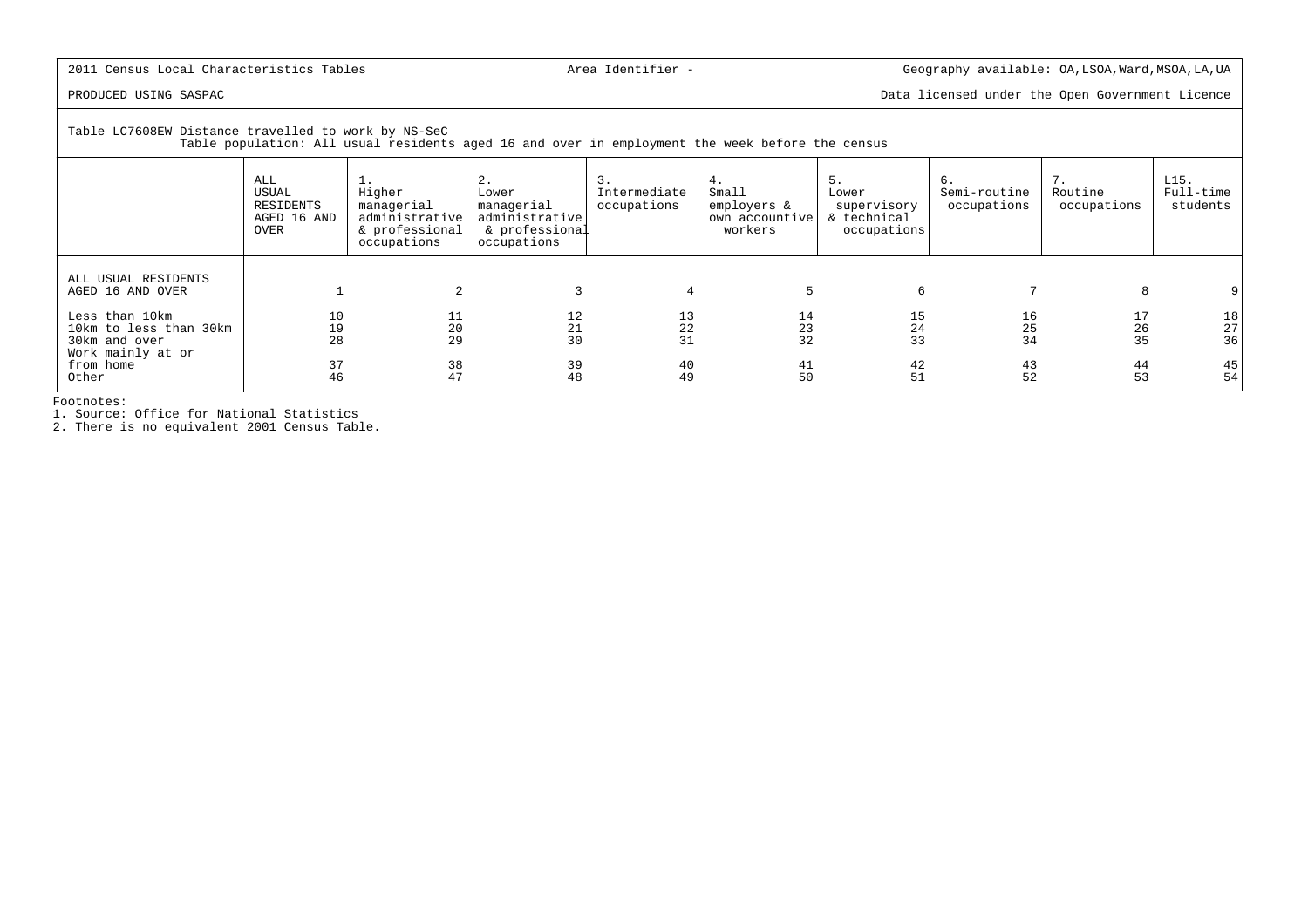PRODUCED USING SASPAC Data licensed under the Open Government Licence

Table LC7608EW Distance travelled to work by NS-SeC

Table population: All usual residents aged 16 and over in employment the week before the census

|                                                                                | ALL<br>USUAL<br>RESIDENTS<br>AGED 16 AND<br>OVER | <b>1.</b><br>Higher<br>managerial<br>administrative<br>& professional<br>occupations | 2.<br>Lower<br>managerial<br>administrative<br>& professional<br>occupations | 3.<br>Intermediate<br>occupations | 4.<br>Small<br>employers &<br>own accountive<br>workers | 5.<br>Lower<br>supervisory<br>& technical<br>occupations | б.<br>Semi-routine<br>occupations | 7.<br>Routine<br>occupations | L15.<br>Full-time<br>students                 |
|--------------------------------------------------------------------------------|--------------------------------------------------|--------------------------------------------------------------------------------------|------------------------------------------------------------------------------|-----------------------------------|---------------------------------------------------------|----------------------------------------------------------|-----------------------------------|------------------------------|-----------------------------------------------|
| ALL USUAL RESIDENTS<br>AGED 16 AND OVER                                        |                                                  |                                                                                      |                                                                              |                                   |                                                         | 6                                                        |                                   |                              |                                               |
| Less than 10km<br>10km to less than 30km<br>30km and over<br>Work mainly at or | 10<br>19<br>28                                   | 11<br>20<br>29                                                                       | 12<br>21<br>30                                                               | 13<br>22<br>31                    | 14<br>23<br>32                                          | 15<br>24<br>33                                           | 16<br>25<br>34                    | 17<br>26<br>35               | 18<br>$\begin{array}{c} 27 \\ 36 \end{array}$ |
| from home<br>Other                                                             | 37<br>46                                         | 38<br>47                                                                             | 39<br>48                                                                     | 40<br>49                          | 41<br>50                                                | 42<br>51                                                 | 43<br>52                          | 44<br>53                     | 45 <br>54                                     |

Footnotes:

1. Source: Office for National Statistics 2. There is no equivalent 2001 Census Table.